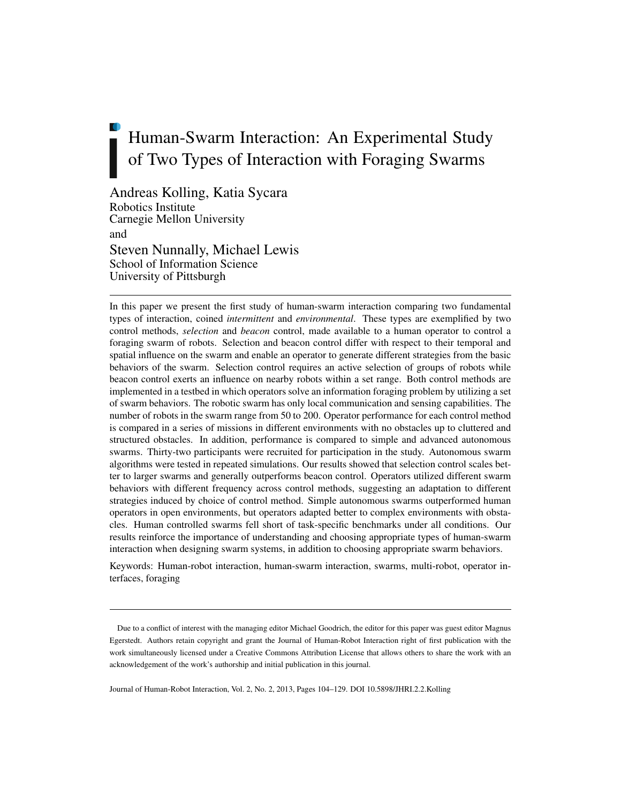# Human-Swarm Interaction: An Experimental Study of Two Types of Interaction with Foraging Swarms

Andreas Kolling, Katia Sycara Robotics Institute Carnegie Mellon University and Steven Nunnally, Michael Lewis School of Information Science University of Pittsburgh

In this paper we present the first study of human-swarm interaction comparing two fundamental types of interaction, coined *intermittent* and *environmental*. These types are exemplified by two control methods, *selection* and *beacon* control, made available to a human operator to control a foraging swarm of robots. Selection and beacon control differ with respect to their temporal and spatial influence on the swarm and enable an operator to generate different strategies from the basic behaviors of the swarm. Selection control requires an active selection of groups of robots while beacon control exerts an influence on nearby robots within a set range. Both control methods are implemented in a testbed in which operators solve an information foraging problem by utilizing a set of swarm behaviors. The robotic swarm has only local communication and sensing capabilities. The number of robots in the swarm range from 50 to 200. Operator performance for each control method is compared in a series of missions in different environments with no obstacles up to cluttered and structured obstacles. In addition, performance is compared to simple and advanced autonomous swarms. Thirty-two participants were recruited for participation in the study. Autonomous swarm algorithms were tested in repeated simulations. Our results showed that selection control scales better to larger swarms and generally outperforms beacon control. Operators utilized different swarm behaviors with different frequency across control methods, suggesting an adaptation to different strategies induced by choice of control method. Simple autonomous swarms outperformed human operators in open environments, but operators adapted better to complex environments with obstacles. Human controlled swarms fell short of task-specific benchmarks under all conditions. Our results reinforce the importance of understanding and choosing appropriate types of human-swarm interaction when designing swarm systems, in addition to choosing appropriate swarm behaviors.

Keywords: Human-robot interaction, human-swarm interaction, swarms, multi-robot, operator interfaces, foraging

Journal of Human-Robot Interaction, Vol. 2, No. 2, 2013, Pages 104–129. DOI 10.5898/JHRI.2.2.Kolling

Due to a conflict of interest with the managing editor Michael Goodrich, the editor for this paper was guest editor Magnus Egerstedt. Authors retain copyright and grant the Journal of Human-Robot Interaction right of first publication with the work simultaneously licensed under a Creative Commons Attribution License that allows others to share the work with an acknowledgement of the work's authorship and initial publication in this journal.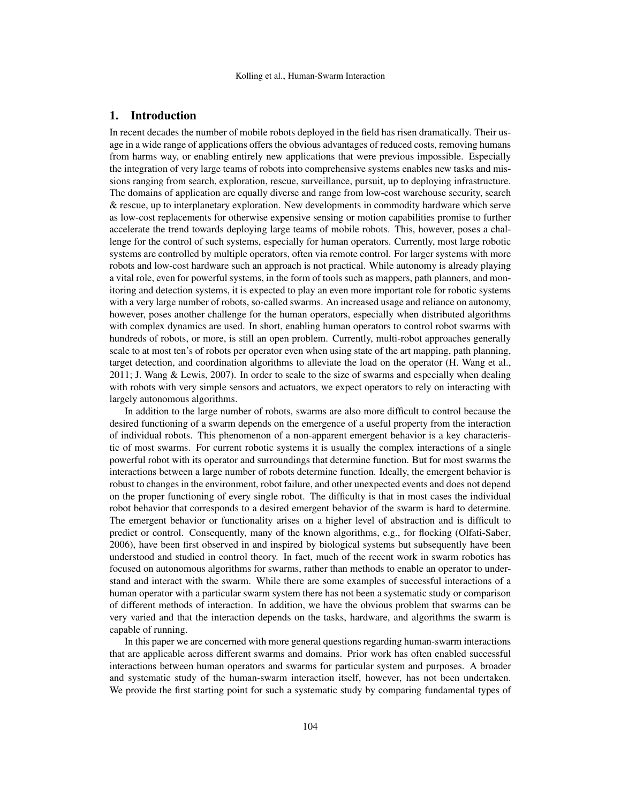## 1. Introduction

In recent decades the number of mobile robots deployed in the field has risen dramatically. Their usage in a wide range of applications offers the obvious advantages of reduced costs, removing humans from harms way, or enabling entirely new applications that were previous impossible. Especially the integration of very large teams of robots into comprehensive systems enables new tasks and missions ranging from search, exploration, rescue, surveillance, pursuit, up to deploying infrastructure. The domains of application are equally diverse and range from low-cost warehouse security, search & rescue, up to interplanetary exploration. New developments in commodity hardware which serve as low-cost replacements for otherwise expensive sensing or motion capabilities promise to further accelerate the trend towards deploying large teams of mobile robots. This, however, poses a challenge for the control of such systems, especially for human operators. Currently, most large robotic systems are controlled by multiple operators, often via remote control. For larger systems with more robots and low-cost hardware such an approach is not practical. While autonomy is already playing a vital role, even for powerful systems, in the form of tools such as mappers, path planners, and monitoring and detection systems, it is expected to play an even more important role for robotic systems with a very large number of robots, so-called swarms. An increased usage and reliance on autonomy, however, poses another challenge for the human operators, especially when distributed algorithms with complex dynamics are used. In short, enabling human operators to control robot swarms with hundreds of robots, or more, is still an open problem. Currently, multi-robot approaches generally scale to at most ten's of robots per operator even when using state of the art mapping, path planning, target detection, and coordination algorithms to alleviate the load on the operator (H. Wang et al., 2011; J. Wang & Lewis, 2007). In order to scale to the size of swarms and especially when dealing with robots with very simple sensors and actuators, we expect operators to rely on interacting with largely autonomous algorithms.

In addition to the large number of robots, swarms are also more difficult to control because the desired functioning of a swarm depends on the emergence of a useful property from the interaction of individual robots. This phenomenon of a non-apparent emergent behavior is a key characteristic of most swarms. For current robotic systems it is usually the complex interactions of a single powerful robot with its operator and surroundings that determine function. But for most swarms the interactions between a large number of robots determine function. Ideally, the emergent behavior is robust to changes in the environment, robot failure, and other unexpected events and does not depend on the proper functioning of every single robot. The difficulty is that in most cases the individual robot behavior that corresponds to a desired emergent behavior of the swarm is hard to determine. The emergent behavior or functionality arises on a higher level of abstraction and is difficult to predict or control. Consequently, many of the known algorithms, e.g., for flocking (Olfati-Saber, 2006), have been first observed in and inspired by biological systems but subsequently have been understood and studied in control theory. In fact, much of the recent work in swarm robotics has focused on autonomous algorithms for swarms, rather than methods to enable an operator to understand and interact with the swarm. While there are some examples of successful interactions of a human operator with a particular swarm system there has not been a systematic study or comparison of different methods of interaction. In addition, we have the obvious problem that swarms can be very varied and that the interaction depends on the tasks, hardware, and algorithms the swarm is capable of running.

In this paper we are concerned with more general questions regarding human-swarm interactions that are applicable across different swarms and domains. Prior work has often enabled successful interactions between human operators and swarms for particular system and purposes. A broader and systematic study of the human-swarm interaction itself, however, has not been undertaken. We provide the first starting point for such a systematic study by comparing fundamental types of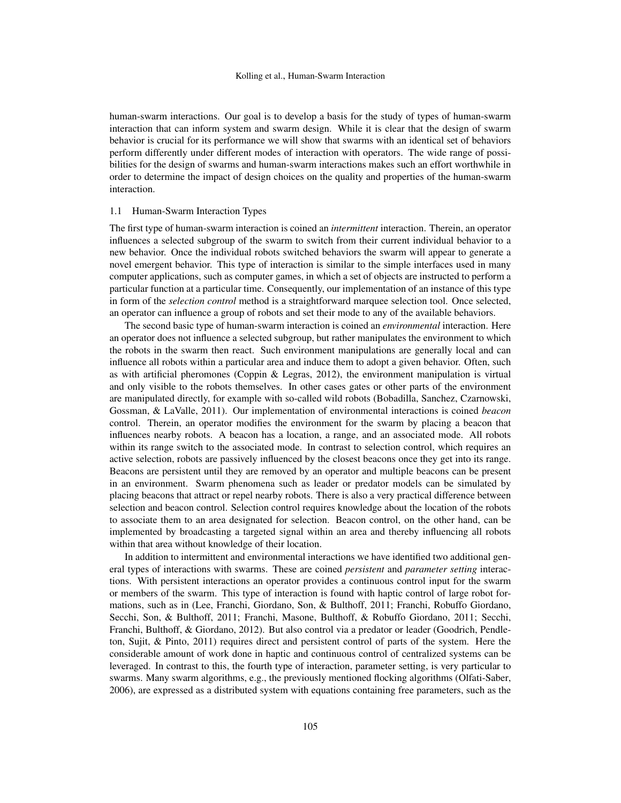human-swarm interactions. Our goal is to develop a basis for the study of types of human-swarm interaction that can inform system and swarm design. While it is clear that the design of swarm behavior is crucial for its performance we will show that swarms with an identical set of behaviors perform differently under different modes of interaction with operators. The wide range of possibilities for the design of swarms and human-swarm interactions makes such an effort worthwhile in order to determine the impact of design choices on the quality and properties of the human-swarm interaction.

#### 1.1 Human-Swarm Interaction Types

The first type of human-swarm interaction is coined an *intermittent* interaction. Therein, an operator influences a selected subgroup of the swarm to switch from their current individual behavior to a new behavior. Once the individual robots switched behaviors the swarm will appear to generate a novel emergent behavior. This type of interaction is similar to the simple interfaces used in many computer applications, such as computer games, in which a set of objects are instructed to perform a particular function at a particular time. Consequently, our implementation of an instance of this type in form of the *selection control* method is a straightforward marquee selection tool. Once selected, an operator can influence a group of robots and set their mode to any of the available behaviors.

The second basic type of human-swarm interaction is coined an *environmental* interaction. Here an operator does not influence a selected subgroup, but rather manipulates the environment to which the robots in the swarm then react. Such environment manipulations are generally local and can influence all robots within a particular area and induce them to adopt a given behavior. Often, such as with artificial pheromones (Coppin & Legras, 2012), the environment manipulation is virtual and only visible to the robots themselves. In other cases gates or other parts of the environment are manipulated directly, for example with so-called wild robots (Bobadilla, Sanchez, Czarnowski, Gossman, & LaValle, 2011). Our implementation of environmental interactions is coined *beacon* control. Therein, an operator modifies the environment for the swarm by placing a beacon that influences nearby robots. A beacon has a location, a range, and an associated mode. All robots within its range switch to the associated mode. In contrast to selection control, which requires an active selection, robots are passively influenced by the closest beacons once they get into its range. Beacons are persistent until they are removed by an operator and multiple beacons can be present in an environment. Swarm phenomena such as leader or predator models can be simulated by placing beacons that attract or repel nearby robots. There is also a very practical difference between selection and beacon control. Selection control requires knowledge about the location of the robots to associate them to an area designated for selection. Beacon control, on the other hand, can be implemented by broadcasting a targeted signal within an area and thereby influencing all robots within that area without knowledge of their location.

In addition to intermittent and environmental interactions we have identified two additional general types of interactions with swarms. These are coined *persistent* and *parameter setting* interactions. With persistent interactions an operator provides a continuous control input for the swarm or members of the swarm. This type of interaction is found with haptic control of large robot formations, such as in (Lee, Franchi, Giordano, Son, & Bulthoff, 2011; Franchi, Robuffo Giordano, Secchi, Son, & Bulthoff, 2011; Franchi, Masone, Bulthoff, & Robuffo Giordano, 2011; Secchi, Franchi, Bulthoff, & Giordano, 2012). But also control via a predator or leader (Goodrich, Pendleton, Sujit, & Pinto, 2011) requires direct and persistent control of parts of the system. Here the considerable amount of work done in haptic and continuous control of centralized systems can be leveraged. In contrast to this, the fourth type of interaction, parameter setting, is very particular to swarms. Many swarm algorithms, e.g., the previously mentioned flocking algorithms (Olfati-Saber, 2006), are expressed as a distributed system with equations containing free parameters, such as the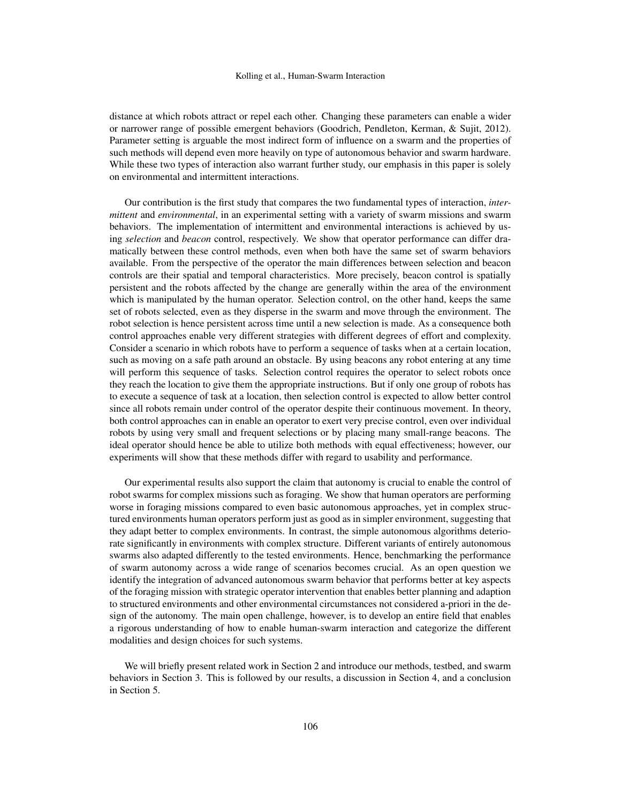distance at which robots attract or repel each other. Changing these parameters can enable a wider or narrower range of possible emergent behaviors (Goodrich, Pendleton, Kerman, & Sujit, 2012). Parameter setting is arguable the most indirect form of influence on a swarm and the properties of such methods will depend even more heavily on type of autonomous behavior and swarm hardware. While these two types of interaction also warrant further study, our emphasis in this paper is solely on environmental and intermittent interactions.

Our contribution is the first study that compares the two fundamental types of interaction, *intermittent* and *environmental*, in an experimental setting with a variety of swarm missions and swarm behaviors. The implementation of intermittent and environmental interactions is achieved by using *selection* and *beacon* control, respectively. We show that operator performance can differ dramatically between these control methods, even when both have the same set of swarm behaviors available. From the perspective of the operator the main differences between selection and beacon controls are their spatial and temporal characteristics. More precisely, beacon control is spatially persistent and the robots affected by the change are generally within the area of the environment which is manipulated by the human operator. Selection control, on the other hand, keeps the same set of robots selected, even as they disperse in the swarm and move through the environment. The robot selection is hence persistent across time until a new selection is made. As a consequence both control approaches enable very different strategies with different degrees of effort and complexity. Consider a scenario in which robots have to perform a sequence of tasks when at a certain location, such as moving on a safe path around an obstacle. By using beacons any robot entering at any time will perform this sequence of tasks. Selection control requires the operator to select robots once they reach the location to give them the appropriate instructions. But if only one group of robots has to execute a sequence of task at a location, then selection control is expected to allow better control since all robots remain under control of the operator despite their continuous movement. In theory, both control approaches can in enable an operator to exert very precise control, even over individual robots by using very small and frequent selections or by placing many small-range beacons. The ideal operator should hence be able to utilize both methods with equal effectiveness; however, our experiments will show that these methods differ with regard to usability and performance.

Our experimental results also support the claim that autonomy is crucial to enable the control of robot swarms for complex missions such as foraging. We show that human operators are performing worse in foraging missions compared to even basic autonomous approaches, yet in complex structured environments human operators perform just as good as in simpler environment, suggesting that they adapt better to complex environments. In contrast, the simple autonomous algorithms deteriorate significantly in environments with complex structure. Different variants of entirely autonomous swarms also adapted differently to the tested environments. Hence, benchmarking the performance of swarm autonomy across a wide range of scenarios becomes crucial. As an open question we identify the integration of advanced autonomous swarm behavior that performs better at key aspects of the foraging mission with strategic operator intervention that enables better planning and adaption to structured environments and other environmental circumstances not considered a-priori in the design of the autonomy. The main open challenge, however, is to develop an entire field that enables a rigorous understanding of how to enable human-swarm interaction and categorize the different modalities and design choices for such systems.

We will briefly present related work in Section 2 and introduce our methods, testbed, and swarm behaviors in Section 3. This is followed by our results, a discussion in Section 4, and a conclusion in Section 5.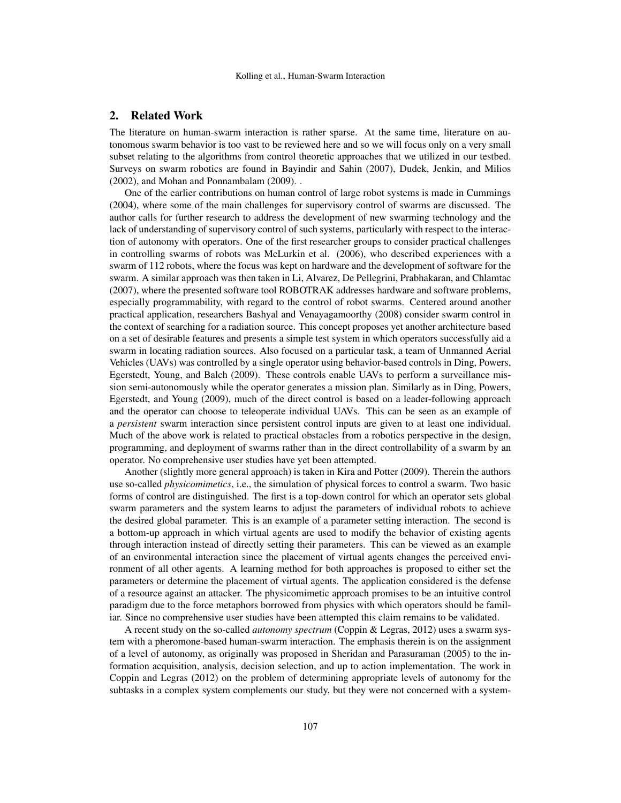## 2. Related Work

The literature on human-swarm interaction is rather sparse. At the same time, literature on autonomous swarm behavior is too vast to be reviewed here and so we will focus only on a very small subset relating to the algorithms from control theoretic approaches that we utilized in our testbed. Surveys on swarm robotics are found in Bayindir and Sahin (2007), Dudek, Jenkin, and Milios (2002), and Mohan and Ponnambalam (2009). .

One of the earlier contributions on human control of large robot systems is made in Cummings (2004), where some of the main challenges for supervisory control of swarms are discussed. The author calls for further research to address the development of new swarming technology and the lack of understanding of supervisory control of such systems, particularly with respect to the interaction of autonomy with operators. One of the first researcher groups to consider practical challenges in controlling swarms of robots was McLurkin et al. (2006), who described experiences with a swarm of 112 robots, where the focus was kept on hardware and the development of software for the swarm. A similar approach was then taken in Li, Alvarez, De Pellegrini, Prabhakaran, and Chlamtac (2007), where the presented software tool ROBOTRAK addresses hardware and software problems, especially programmability, with regard to the control of robot swarms. Centered around another practical application, researchers Bashyal and Venayagamoorthy (2008) consider swarm control in the context of searching for a radiation source. This concept proposes yet another architecture based on a set of desirable features and presents a simple test system in which operators successfully aid a swarm in locating radiation sources. Also focused on a particular task, a team of Unmanned Aerial Vehicles (UAVs) was controlled by a single operator using behavior-based controls in Ding, Powers, Egerstedt, Young, and Balch (2009). These controls enable UAVs to perform a surveillance mission semi-autonomously while the operator generates a mission plan. Similarly as in Ding, Powers, Egerstedt, and Young (2009), much of the direct control is based on a leader-following approach and the operator can choose to teleoperate individual UAVs. This can be seen as an example of a *persistent* swarm interaction since persistent control inputs are given to at least one individual. Much of the above work is related to practical obstacles from a robotics perspective in the design, programming, and deployment of swarms rather than in the direct controllability of a swarm by an operator. No comprehensive user studies have yet been attempted.

Another (slightly more general approach) is taken in Kira and Potter (2009). Therein the authors use so-called *physicomimetics*, i.e., the simulation of physical forces to control a swarm. Two basic forms of control are distinguished. The first is a top-down control for which an operator sets global swarm parameters and the system learns to adjust the parameters of individual robots to achieve the desired global parameter. This is an example of a parameter setting interaction. The second is a bottom-up approach in which virtual agents are used to modify the behavior of existing agents through interaction instead of directly setting their parameters. This can be viewed as an example of an environmental interaction since the placement of virtual agents changes the perceived environment of all other agents. A learning method for both approaches is proposed to either set the parameters or determine the placement of virtual agents. The application considered is the defense of a resource against an attacker. The physicomimetic approach promises to be an intuitive control paradigm due to the force metaphors borrowed from physics with which operators should be familiar. Since no comprehensive user studies have been attempted this claim remains to be validated.

A recent study on the so-called *autonomy spectrum* (Coppin & Legras, 2012) uses a swarm system with a pheromone-based human-swarm interaction. The emphasis therein is on the assignment of a level of autonomy, as originally was proposed in Sheridan and Parasuraman (2005) to the information acquisition, analysis, decision selection, and up to action implementation. The work in Coppin and Legras (2012) on the problem of determining appropriate levels of autonomy for the subtasks in a complex system complements our study, but they were not concerned with a system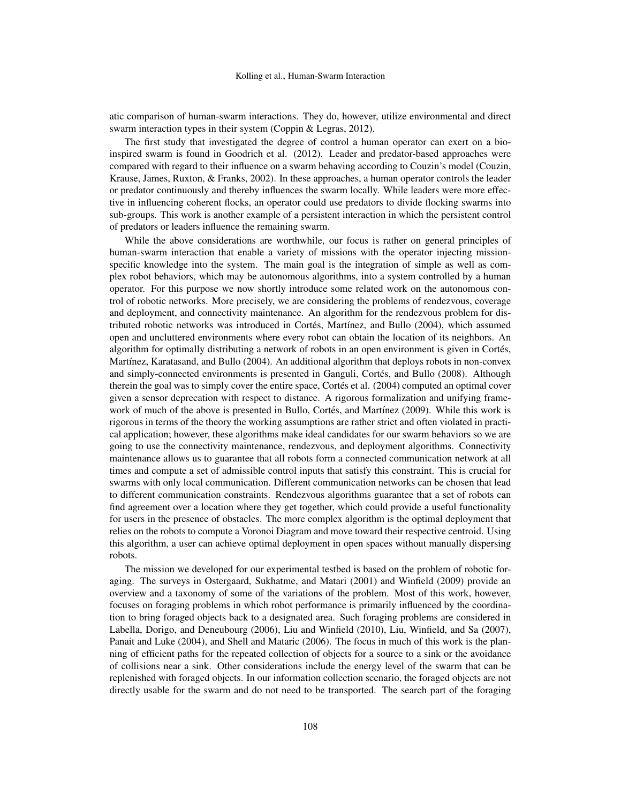atic comparison of human-swarm interactions. They do, however, utilize environmental and direct swarm interaction types in their system (Coppin & Legras, 2012).

The first study that investigated the degree of control a human operator can exert on a bioinspired swarm is found in Goodrich et al. (2012). Leader and predator-based approaches were compared with regard to their influence on a swarm behaving according to Couzin's model (Couzin, Krause, James, Ruxton, & Franks, 2002). In these approaches, a human operator controls the leader or predator continuously and thereby influences the swarm locally. While leaders were more effective in influencing coherent flocks, an operator could use predators to divide flocking swarms into sub-groups. This work is another example of a persistent interaction in which the persistent control of predators or leaders influence the remaining swarm.

While the above considerations are worthwhile, our focus is rather on general principles of human-swarm interaction that enable a variety of missions with the operator injecting missionspecific knowledge into the system. The main goal is the integration of simple as well as complex robot behaviors, which may be autonomous algorithms, into a system controlled by a human operator. For this purpose we now shortly introduce some related work on the autonomous control of robotic networks. More precisely, we are considering the problems of rendezvous, coverage and deployment, and connectivity maintenance. An algorithm for the rendezvous problem for distributed robotic networks was introduced in Cortés, Martínez, and Bullo (2004), which assumed open and uncluttered environments where every robot can obtain the location of its neighbors. An algorithm for optimally distributing a network of robots in an open environment is given in Cortes, ´ Martínez, Karatasand, and Bullo (2004). An additional algorithm that deploys robots in non-convex and simply-connected environments is presented in Ganguli, Cortés, and Bullo (2008). Although therein the goal was to simply cover the entire space, Cortés et al. (2004) computed an optimal cover given a sensor deprecation with respect to distance. A rigorous formalization and unifying framework of much of the above is presented in Bullo, Cortés, and Martínez (2009). While this work is rigorous in terms of the theory the working assumptions are rather strict and often violated in practical application; however, these algorithms make ideal candidates for our swarm behaviors so we are going to use the connectivity maintenance, rendezvous, and deployment algorithms. Connectivity maintenance allows us to guarantee that all robots form a connected communication network at all times and compute a set of admissible control inputs that satisfy this constraint. This is crucial for swarms with only local communication. Different communication networks can be chosen that lead to different communication constraints. Rendezvous algorithms guarantee that a set of robots can find agreement over a location where they get together, which could provide a useful functionality for users in the presence of obstacles. The more complex algorithm is the optimal deployment that relies on the robots to compute a Voronoi Diagram and move toward their respective centroid. Using this algorithm, a user can achieve optimal deployment in open spaces without manually dispersing robots.

The mission we developed for our experimental testbed is based on the problem of robotic foraging. The surveys in Ostergaard, Sukhatme, and Matari (2001) and Winfield (2009) provide an overview and a taxonomy of some of the variations of the problem. Most of this work, however, focuses on foraging problems in which robot performance is primarily influenced by the coordination to bring foraged objects back to a designated area. Such foraging problems are considered in Labella, Dorigo, and Deneubourg (2006), Liu and Winfield (2010), Liu, Winfield, and Sa (2007), Panait and Luke (2004), and Shell and Mataric (2006). The focus in much of this work is the planning of efficient paths for the repeated collection of objects for a source to a sink or the avoidance of collisions near a sink. Other considerations include the energy level of the swarm that can be replenished with foraged objects. In our information collection scenario, the foraged objects are not directly usable for the swarm and do not need to be transported. The search part of the foraging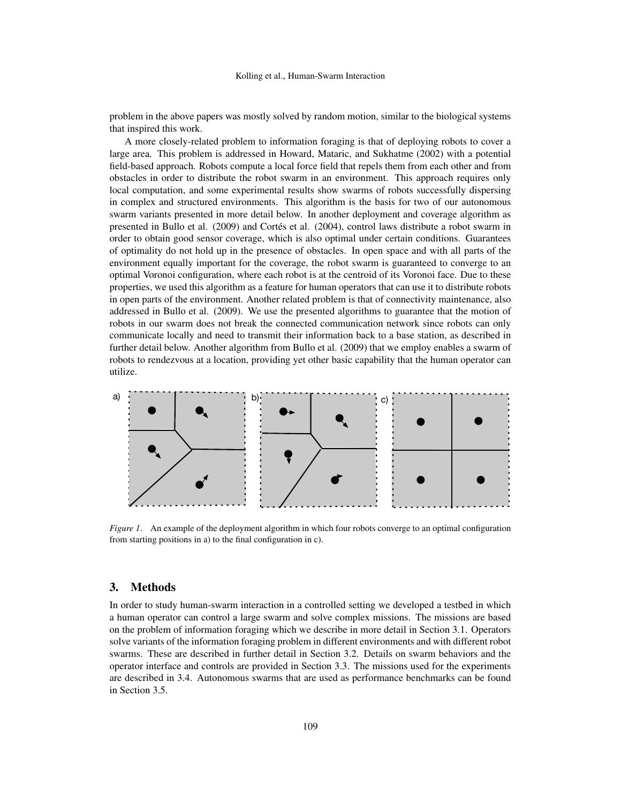problem in the above papers was mostly solved by random motion, similar to the biological systems that inspired this work.

A more closely-related problem to information foraging is that of deploying robots to cover a large area. This problem is addressed in Howard, Mataric, and Sukhatme (2002) with a potential field-based approach. Robots compute a local force field that repels them from each other and from obstacles in order to distribute the robot swarm in an environment. This approach requires only local computation, and some experimental results show swarms of robots successfully dispersing in complex and structured environments. This algorithm is the basis for two of our autonomous swarm variants presented in more detail below. In another deployment and coverage algorithm as presented in Bullo et al. (2009) and Cortés et al. (2004), control laws distribute a robot swarm in order to obtain good sensor coverage, which is also optimal under certain conditions. Guarantees of optimality do not hold up in the presence of obstacles. In open space and with all parts of the environment equally important for the coverage, the robot swarm is guaranteed to converge to an optimal Voronoi configuration, where each robot is at the centroid of its Voronoi face. Due to these properties, we used this algorithm as a feature for human operators that can use it to distribute robots in open parts of the environment. Another related problem is that of connectivity maintenance, also addressed in Bullo et al. (2009). We use the presented algorithms to guarantee that the motion of robots in our swarm does not break the connected communication network since robots can only communicate locally and need to transmit their information back to a base station, as described in further detail below. Another algorithm from Bullo et al. (2009) that we employ enables a swarm of robots to rendezvous at a location, providing yet other basic capability that the human operator can utilize.



*Figure 1*. An example of the deployment algorithm in which four robots converge to an optimal configuration from starting positions in a) to the final configuration in c).

## 3. Methods

In order to study human-swarm interaction in a controlled setting we developed a testbed in which a human operator can control a large swarm and solve complex missions. The missions are based on the problem of information foraging which we describe in more detail in Section 3.1. Operators solve variants of the information foraging problem in different environments and with different robot swarms. These are described in further detail in Section 3.2. Details on swarm behaviors and the operator interface and controls are provided in Section 3.3. The missions used for the experiments are described in 3.4. Autonomous swarms that are used as performance benchmarks can be found in Section 3.5.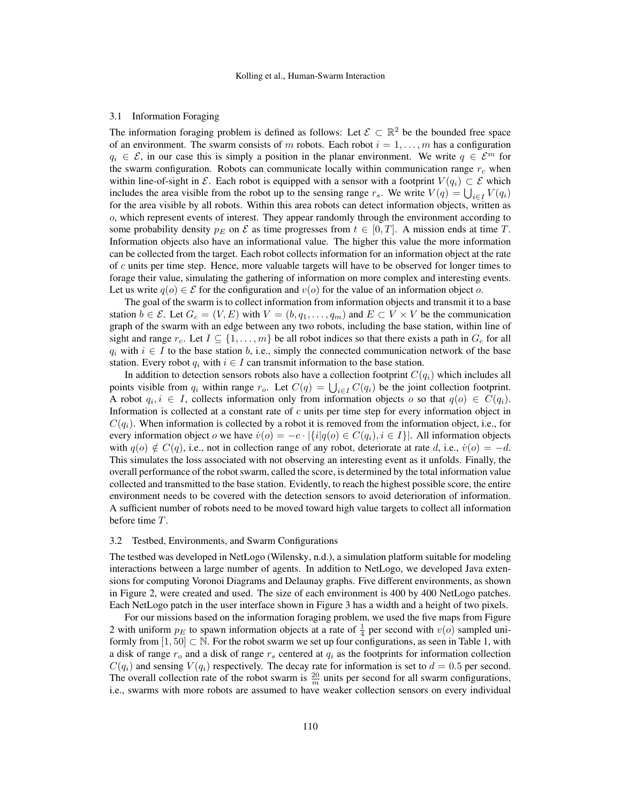#### 3.1 Information Foraging

The information foraging problem is defined as follows: Let  $\mathcal{E} \subset \mathbb{R}^2$  be the bounded free space of an environment. The swarm consists of m robots. Each robot  $i = 1, \ldots, m$  has a configuration  $q_i \in \mathcal{E}$ , in our case this is simply a position in the planar environment. We write  $q \in \mathcal{E}^m$  for the swarm configuration. Robots can communicate locally within communication range  $r_c$  when within line-of-sight in E. Each robot is equipped with a sensor with a footprint  $V(q_i) \subset \mathcal{E}$  which includes the area visible from the robot up to the sensing range  $r_s$ . We write  $V(q) = \bigcup_{i \in I} V(q_i)$ for the area visible by all robots. Within this area robots can detect information objects, written as o, which represent events of interest. They appear randomly through the environment according to some probability density  $p_E$  on E as time progresses from  $t \in [0, T]$ . A mission ends at time T. Information objects also have an informational value. The higher this value the more information can be collected from the target. Each robot collects information for an information object at the rate of  $c$  units per time step. Hence, more valuable targets will have to be observed for longer times to forage their value, simulating the gathering of information on more complex and interesting events. Let us write  $q(o) \in \mathcal{E}$  for the configuration and  $v(o)$  for the value of an information object o.

The goal of the swarm is to collect information from information objects and transmit it to a base station  $b \in \mathcal{E}$ . Let  $G_c = (V, E)$  with  $V = (b, q_1, \ldots, q_m)$  and  $E \subset V \times V$  be the communication graph of the swarm with an edge between any two robots, including the base station, within line of sight and range  $r_c$ . Let  $I \subseteq \{1, \ldots, m\}$  be all robot indices so that there exists a path in  $G_c$  for all  $q_i$  with  $i \in I$  to the base station b, i.e., simply the connected communication network of the base station. Every robot  $q_i$  with  $i \in I$  can transmit information to the base station.

In addition to detection sensors robots also have a collection footprint  $C(q_i)$  which includes all points visible from  $q_i$  within range  $r_o$ . Let  $C(q) = \bigcup_{i \in I} C(q_i)$  be the joint collection footprint. A robot  $q_i, i \in I$ , collects information only from information objects o so that  $q(o) \in C(q_i)$ . Information is collected at a constant rate of  $c$  units per time step for every information object in  $C(q_i)$ . When information is collected by a robot it is removed from the information object, i.e., for every information object o we have  $\dot{v}(o) = -c \cdot |\{i|q(o) \in C(q_i), i \in I\}|$ . All information objects with  $q(o) \notin C(q)$ , i.e., not in collection range of any robot, deteriorate at rate d, i.e.,  $\dot{v}(o) = -d$ . This simulates the loss associated with not observing an interesting event as it unfolds. Finally, the overall performance of the robot swarm, called the score, is determined by the total information value collected and transmitted to the base station. Evidently, to reach the highest possible score, the entire environment needs to be covered with the detection sensors to avoid deterioration of information. A sufficient number of robots need to be moved toward high value targets to collect all information before time T.

#### 3.2 Testbed, Environments, and Swarm Configurations

The testbed was developed in NetLogo (Wilensky, n.d.), a simulation platform suitable for modeling interactions between a large number of agents. In addition to NetLogo, we developed Java extensions for computing Voronoi Diagrams and Delaunay graphs. Five different environments, as shown in Figure 2, were created and used. The size of each environment is 400 by 400 NetLogo patches. Each NetLogo patch in the user interface shown in Figure 3 has a width and a height of two pixels.

For our missions based on the information foraging problem, we used the five maps from Figure 2 with uniform  $p_E$  to spawn information objects at a rate of  $\frac{1}{4}$  per second with  $v(o)$  sampled uniformly from  $[1, 50] \subset \mathbb{N}$ . For the robot swarm we set up four configurations, as seen in Table 1, with a disk of range  $r_o$  and a disk of range  $r_s$  centered at  $q_i$  as the footprints for information collection  $C(q_i)$  and sensing  $V(q_i)$  respectively. The decay rate for information is set to  $d = 0.5$  per second. The overall collection rate of the robot swarm is  $\frac{20}{m}$  units per second for all swarm configurations, i.e., swarms with more robots are assumed to have weaker collection sensors on every individual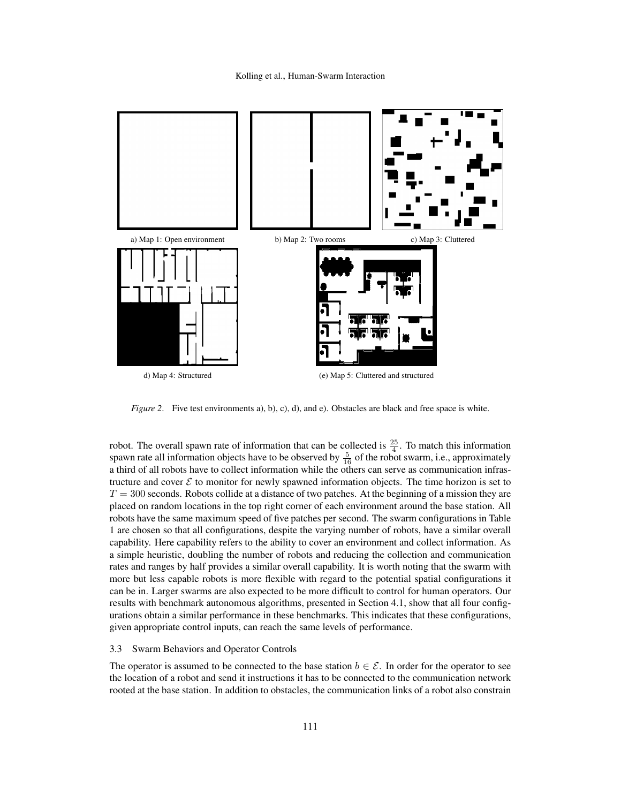

*Figure 2.* Five test environments a), b), c), d), and e). Obstacles are black and free space is white.

robot. The overall spawn rate of information that can be collected is  $\frac{25}{4}$ . To match this information spawn rate all information objects have to be observed by  $\frac{5}{16}$  of the robot swarm, i.e., approximately a third of all robots have to collect information while the others can serve as communication infrastructure and cover  $\mathcal E$  to monitor for newly spawned information objects. The time horizon is set to  $T = 300$  seconds. Robots collide at a distance of two patches. At the beginning of a mission they are placed on random locations in the top right corner of each environment around the base station. All robots have the same maximum speed of five patches per second. The swarm configurations in Table 1 are chosen so that all configurations, despite the varying number of robots, have a similar overall capability. Here capability refers to the ability to cover an environment and collect information. As a simple heuristic, doubling the number of robots and reducing the collection and communication rates and ranges by half provides a similar overall capability. It is worth noting that the swarm with more but less capable robots is more flexible with regard to the potential spatial configurations it can be in. Larger swarms are also expected to be more difficult to control for human operators. Our results with benchmark autonomous algorithms, presented in Section 4.1, show that all four configurations obtain a similar performance in these benchmarks. This indicates that these configurations, given appropriate control inputs, can reach the same levels of performance.

#### 3.3 Swarm Behaviors and Operator Controls

The operator is assumed to be connected to the base station  $b \in \mathcal{E}$ . In order for the operator to see the location of a robot and send it instructions it has to be connected to the communication network rooted at the base station. In addition to obstacles, the communication links of a robot also constrain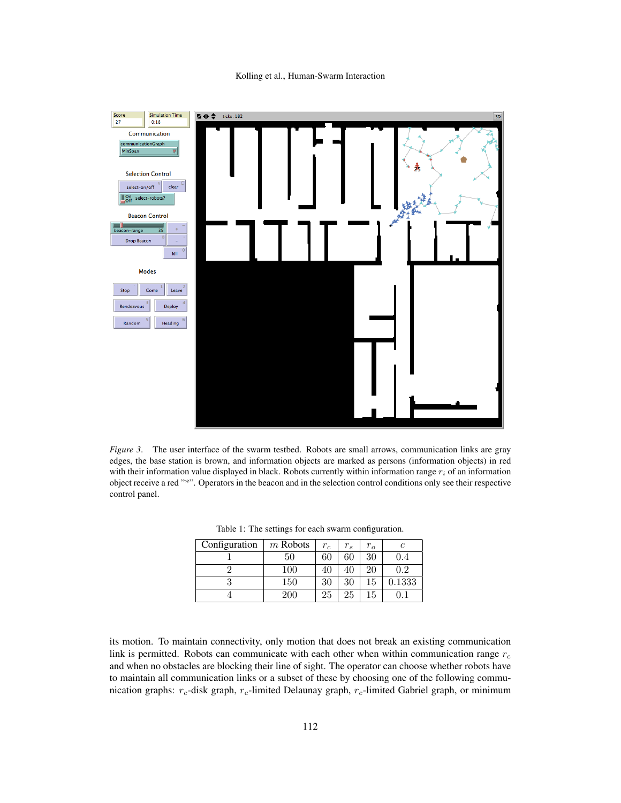

*Figure 3.* The user interface of the swarm testbed. Robots are small arrows, communication links are gray edges, the base station is brown, and information objects are marked as persons (information objects) in red with their information value displayed in black. Robots currently within information range  $r_i$  of an information object receive a red "\*". Operators in the beacon and in the selection control conditions only see their respective control panel.

|  | Configuration | $m$ Robots | $r_c$ | $r_{s}$ | $r_{o}$ |        |
|--|---------------|------------|-------|---------|---------|--------|
|  |               | 50         | 60    | 60      | 30      | 9.4    |
|  |               | 100        | 40    |         | 20      | 0.2    |
|  |               | 150        | 30    | 30      | 15      | 0.1333 |
|  |               | 200        | 25    | 25      | 15      |        |

Table 1: The settings for each swarm configuration.

its motion. To maintain connectivity, only motion that does not break an existing communication link is permitted. Robots can communicate with each other when within communication range  $r_c$ and when no obstacles are blocking their line of sight. The operator can choose whether robots have to maintain all communication links or a subset of these by choosing one of the following communication graphs:  $r_c$ -disk graph,  $r_c$ -limited Delaunay graph,  $r_c$ -limited Gabriel graph, or minimum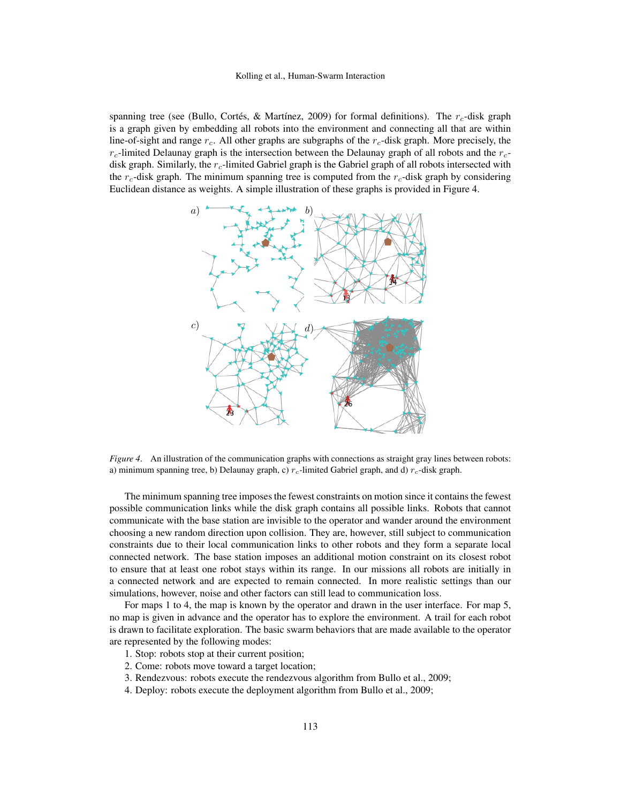spanning tree (see (Bullo, Cortés, & Martínez, 2009) for formal definitions). The  $r_c$ -disk graph is a graph given by embedding all robots into the environment and connecting all that are within line-of-sight and range  $r_c$ . All other graphs are subgraphs of the  $r_c$ -disk graph. More precisely, the  $r_c$ -limited Delaunay graph is the intersection between the Delaunay graph of all robots and the  $r_c$ disk graph. Similarly, the  $r_c$ -limited Gabriel graph is the Gabriel graph of all robots intersected with the  $r_c$ -disk graph. The minimum spanning tree is computed from the  $r_c$ -disk graph by considering Euclidean distance as weights. A simple illustration of these graphs is provided in Figure 4.



*Figure 4*. An illustration of the communication graphs with connections as straight gray lines between robots: a) minimum spanning tree, b) Delaunay graph, c)  $r_c$ -limited Gabriel graph, and d)  $r_c$ -disk graph.

The minimum spanning tree imposes the fewest constraints on motion since it contains the fewest possible communication links while the disk graph contains all possible links. Robots that cannot communicate with the base station are invisible to the operator and wander around the environment choosing a new random direction upon collision. They are, however, still subject to communication constraints due to their local communication links to other robots and they form a separate local connected network. The base station imposes an additional motion constraint on its closest robot to ensure that at least one robot stays within its range. In our missions all robots are initially in a connected network and are expected to remain connected. In more realistic settings than our simulations, however, noise and other factors can still lead to communication loss.

For maps 1 to 4, the map is known by the operator and drawn in the user interface. For map 5, no map is given in advance and the operator has to explore the environment. A trail for each robot is drawn to facilitate exploration. The basic swarm behaviors that are made available to the operator are represented by the following modes:

- 1. Stop: robots stop at their current position;
- 2. Come: robots move toward a target location;
- 3. Rendezvous: robots execute the rendezvous algorithm from Bullo et al., 2009;
- 4. Deploy: robots execute the deployment algorithm from Bullo et al., 2009;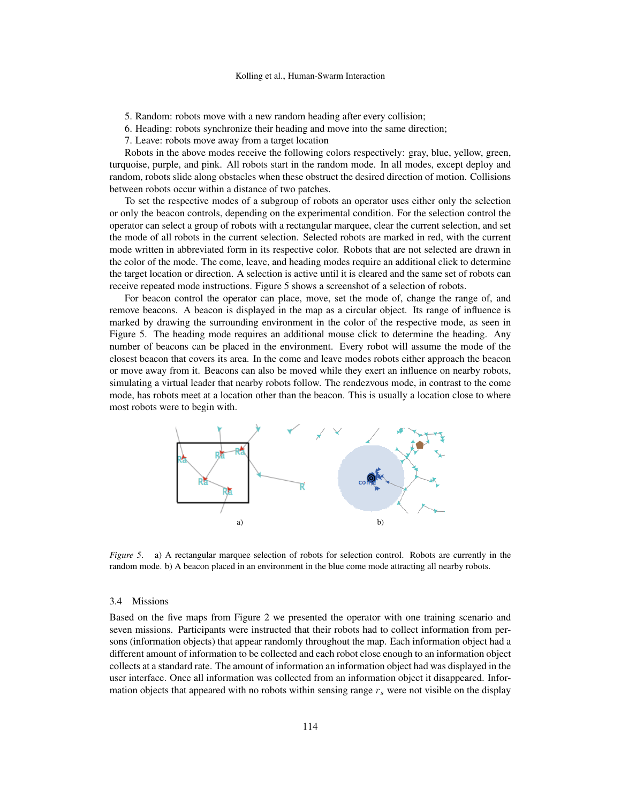- 5. Random: robots move with a new random heading after every collision;
- 6. Heading: robots synchronize their heading and move into the same direction;
- 7. Leave: robots move away from a target location

Robots in the above modes receive the following colors respectively: gray, blue, yellow, green, turquoise, purple, and pink. All robots start in the random mode. In all modes, except deploy and random, robots slide along obstacles when these obstruct the desired direction of motion. Collisions between robots occur within a distance of two patches.

To set the respective modes of a subgroup of robots an operator uses either only the selection or only the beacon controls, depending on the experimental condition. For the selection control the operator can select a group of robots with a rectangular marquee, clear the current selection, and set the mode of all robots in the current selection. Selected robots are marked in red, with the current mode written in abbreviated form in its respective color. Robots that are not selected are drawn in the color of the mode. The come, leave, and heading modes require an additional click to determine the target location or direction. A selection is active until it is cleared and the same set of robots can receive repeated mode instructions. Figure 5 shows a screenshot of a selection of robots.

For beacon control the operator can place, move, set the mode of, change the range of, and remove beacons. A beacon is displayed in the map as a circular object. Its range of influence is marked by drawing the surrounding environment in the color of the respective mode, as seen in Figure 5. The heading mode requires an additional mouse click to determine the heading. Any number of beacons can be placed in the environment. Every robot will assume the mode of the closest beacon that covers its area. In the come and leave modes robots either approach the beacon or move away from it. Beacons can also be moved while they exert an influence on nearby robots, simulating a virtual leader that nearby robots follow. The rendezvous mode, in contrast to the come mode, has robots meet at a location other than the beacon. This is usually a location close to where most robots were to begin with.



*Figure 5.* a) A rectangular marquee selection of robots for selection control. Robots are currently in the random mode. b) A beacon placed in an environment in the blue come mode attracting all nearby robots.

#### 3.4 Missions

Based on the five maps from Figure 2 we presented the operator with one training scenario and seven missions. Participants were instructed that their robots had to collect information from persons (information objects) that appear randomly throughout the map. Each information object had a different amount of information to be collected and each robot close enough to an information object collects at a standard rate. The amount of information an information object had was displayed in the user interface. Once all information was collected from an information object it disappeared. Information objects that appeared with no robots within sensing range  $r<sub>s</sub>$  were not visible on the display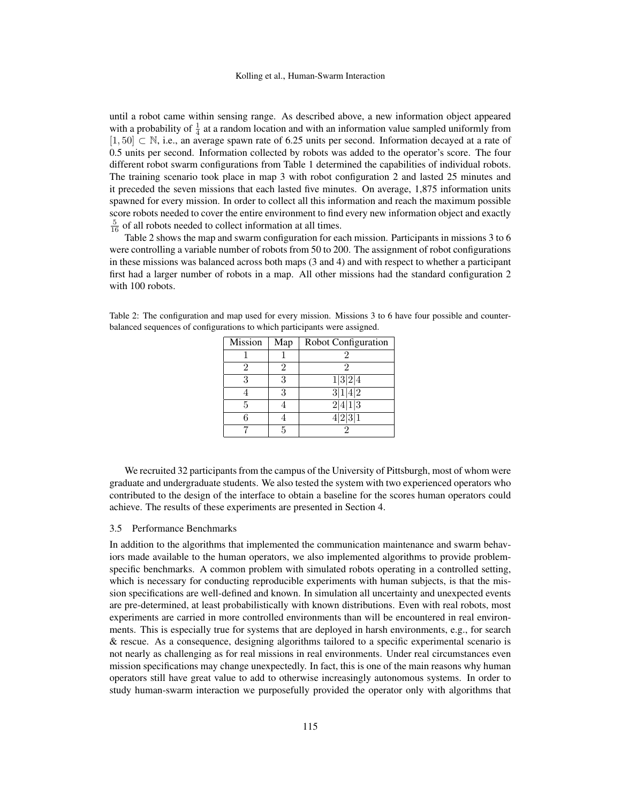until a robot came within sensing range. As described above, a new information object appeared with a probability of  $\frac{1}{4}$  at a random location and with an information value sampled uniformly from [1, 50] ⊂ N, i.e., an average spawn rate of 6.25 units per second. Information decayed at a rate of 0.5 units per second. Information collected by robots was added to the operator's score. The four different robot swarm configurations from Table 1 determined the capabilities of individual robots. The training scenario took place in map 3 with robot configuration 2 and lasted 25 minutes and it preceded the seven missions that each lasted five minutes. On average, 1,875 information units spawned for every mission. In order to collect all this information and reach the maximum possible score robots needed to cover the entire environment to find every new information object and exactly  $\frac{5}{16}$  of all robots needed to collect information at all times.

Table 2 shows the map and swarm configuration for each mission. Participants in missions 3 to 6 were controlling a variable number of robots from 50 to 200. The assignment of robot configurations in these missions was balanced across both maps (3 and 4) and with respect to whether a participant first had a larger number of robots in a map. All other missions had the standard configuration 2 with 100 robots.

| Mission | Map | <b>Robot Configuration</b> |
|---------|-----|----------------------------|
|         |     |                            |
| 2       | 2   | 2                          |
| 3       | 3   | 1 3 2 4                    |
|         | 3   | 3 1 4 2                    |
| 5       |     | $\sqrt{2 4 1 3}$           |
|         |     | $\frac{4 2 3 1}{2}$        |
|         | 5   |                            |

Table 2: The configuration and map used for every mission. Missions 3 to 6 have four possible and counterbalanced sequences of configurations to which participants were assigned.

We recruited 32 participants from the campus of the University of Pittsburgh, most of whom were graduate and undergraduate students. We also tested the system with two experienced operators who contributed to the design of the interface to obtain a baseline for the scores human operators could achieve. The results of these experiments are presented in Section 4.

#### 3.5 Performance Benchmarks

In addition to the algorithms that implemented the communication maintenance and swarm behaviors made available to the human operators, we also implemented algorithms to provide problemspecific benchmarks. A common problem with simulated robots operating in a controlled setting, which is necessary for conducting reproducible experiments with human subjects, is that the mission specifications are well-defined and known. In simulation all uncertainty and unexpected events are pre-determined, at least probabilistically with known distributions. Even with real robots, most experiments are carried in more controlled environments than will be encountered in real environments. This is especially true for systems that are deployed in harsh environments, e.g., for search & rescue. As a consequence, designing algorithms tailored to a specific experimental scenario is not nearly as challenging as for real missions in real environments. Under real circumstances even mission specifications may change unexpectedly. In fact, this is one of the main reasons why human operators still have great value to add to otherwise increasingly autonomous systems. In order to study human-swarm interaction we purposefully provided the operator only with algorithms that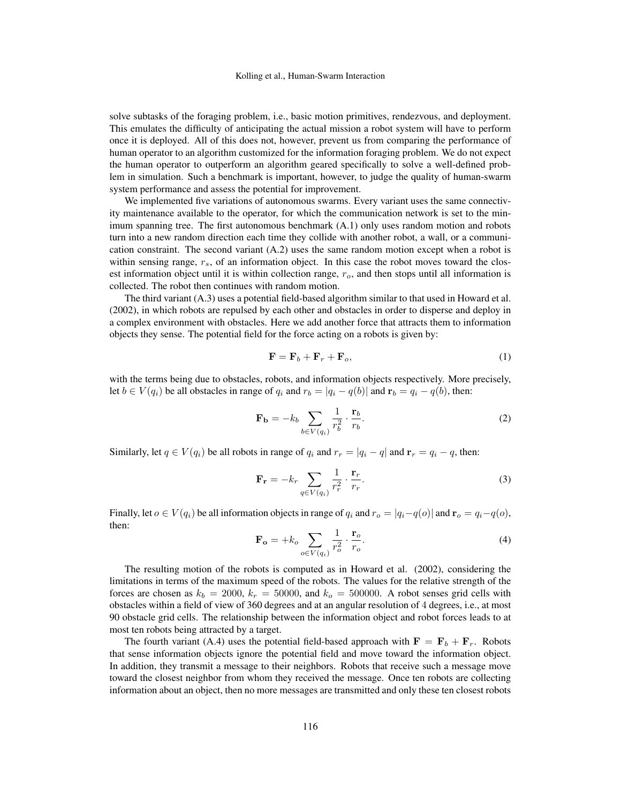solve subtasks of the foraging problem, i.e., basic motion primitives, rendezvous, and deployment. This emulates the difficulty of anticipating the actual mission a robot system will have to perform once it is deployed. All of this does not, however, prevent us from comparing the performance of human operator to an algorithm customized for the information foraging problem. We do not expect the human operator to outperform an algorithm geared specifically to solve a well-defined problem in simulation. Such a benchmark is important, however, to judge the quality of human-swarm system performance and assess the potential for improvement.

We implemented five variations of autonomous swarms. Every variant uses the same connectivity maintenance available to the operator, for which the communication network is set to the minimum spanning tree. The first autonomous benchmark (A.1) only uses random motion and robots turn into a new random direction each time they collide with another robot, a wall, or a communication constraint. The second variant  $(A.2)$  uses the same random motion except when a robot is within sensing range,  $r_s$ , of an information object. In this case the robot moves toward the closest information object until it is within collection range,  $r<sub>o</sub>$ , and then stops until all information is collected. The robot then continues with random motion.

The third variant (A.3) uses a potential field-based algorithm similar to that used in Howard et al. (2002), in which robots are repulsed by each other and obstacles in order to disperse and deploy in a complex environment with obstacles. Here we add another force that attracts them to information objects they sense. The potential field for the force acting on a robots is given by:

$$
\mathbf{F} = \mathbf{F}_b + \mathbf{F}_r + \mathbf{F}_o,\tag{1}
$$

with the terms being due to obstacles, robots, and information objects respectively. More precisely, let  $b \in V(q_i)$  be all obstacles in range of  $q_i$  and  $r_b = |q_i - q(b)|$  and  $\mathbf{r}_b = q_i - q(b)$ , then:

$$
\mathbf{F}_{\mathbf{b}} = -k_b \sum_{b \in V(q_i)} \frac{1}{r_b^2} \cdot \frac{\mathbf{r}_b}{r_b}.
$$
 (2)

Similarly, let  $q \in V(q_i)$  be all robots in range of  $q_i$  and  $r_r = |q_i - q|$  and  $r_r = q_i - q$ , then:

$$
\mathbf{F}_{\mathbf{r}} = -k_r \sum_{q \in V(q_i)} \frac{1}{r_r^2} \cdot \frac{\mathbf{r}_r}{r_r}.
$$
 (3)

Finally, let  $o \in V(q_i)$  be all information objects in range of  $q_i$  and  $r_o = |q_i - q(o)|$  and  $\mathbf{r}_o = q_i - q(o)$ , then:

$$
\mathbf{F_o} = +k_o \sum_{o \in V(q_i)} \frac{1}{r_o^2} \cdot \frac{\mathbf{r}_o}{r_o}.
$$
 (4)

The resulting motion of the robots is computed as in Howard et al. (2002), considering the limitations in terms of the maximum speed of the robots. The values for the relative strength of the forces are chosen as  $k_b = 2000$ ,  $k_r = 50000$ , and  $k_o = 500000$ . A robot senses grid cells with obstacles within a field of view of 360 degrees and at an angular resolution of 4 degrees, i.e., at most 90 obstacle grid cells. The relationship between the information object and robot forces leads to at most ten robots being attracted by a target.

The fourth variant (A.4) uses the potential field-based approach with  $\mathbf{F} = \mathbf{F}_b + \mathbf{F}_r$ . Robots that sense information objects ignore the potential field and move toward the information object. In addition, they transmit a message to their neighbors. Robots that receive such a message move toward the closest neighbor from whom they received the message. Once ten robots are collecting information about an object, then no more messages are transmitted and only these ten closest robots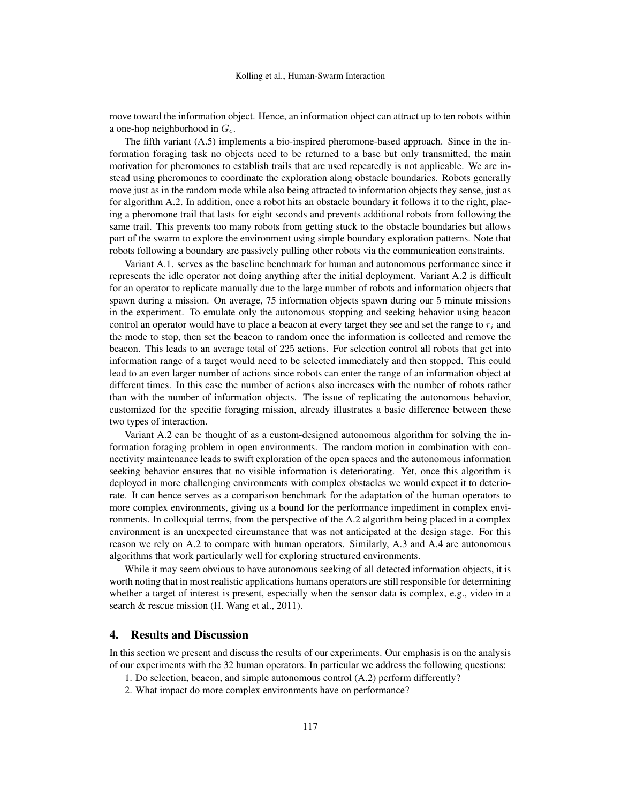move toward the information object. Hence, an information object can attract up to ten robots within a one-hop neighborhood in  $G_c$ .

The fifth variant (A.5) implements a bio-inspired pheromone-based approach. Since in the information foraging task no objects need to be returned to a base but only transmitted, the main motivation for pheromones to establish trails that are used repeatedly is not applicable. We are instead using pheromones to coordinate the exploration along obstacle boundaries. Robots generally move just as in the random mode while also being attracted to information objects they sense, just as for algorithm A.2. In addition, once a robot hits an obstacle boundary it follows it to the right, placing a pheromone trail that lasts for eight seconds and prevents additional robots from following the same trail. This prevents too many robots from getting stuck to the obstacle boundaries but allows part of the swarm to explore the environment using simple boundary exploration patterns. Note that robots following a boundary are passively pulling other robots via the communication constraints.

Variant A.1. serves as the baseline benchmark for human and autonomous performance since it represents the idle operator not doing anything after the initial deployment. Variant A.2 is difficult for an operator to replicate manually due to the large number of robots and information objects that spawn during a mission. On average, 75 information objects spawn during our 5 minute missions in the experiment. To emulate only the autonomous stopping and seeking behavior using beacon control an operator would have to place a beacon at every target they see and set the range to  $r_i$  and the mode to stop, then set the beacon to random once the information is collected and remove the beacon. This leads to an average total of 225 actions. For selection control all robots that get into information range of a target would need to be selected immediately and then stopped. This could lead to an even larger number of actions since robots can enter the range of an information object at different times. In this case the number of actions also increases with the number of robots rather than with the number of information objects. The issue of replicating the autonomous behavior, customized for the specific foraging mission, already illustrates a basic difference between these two types of interaction.

Variant A.2 can be thought of as a custom-designed autonomous algorithm for solving the information foraging problem in open environments. The random motion in combination with connectivity maintenance leads to swift exploration of the open spaces and the autonomous information seeking behavior ensures that no visible information is deteriorating. Yet, once this algorithm is deployed in more challenging environments with complex obstacles we would expect it to deteriorate. It can hence serves as a comparison benchmark for the adaptation of the human operators to more complex environments, giving us a bound for the performance impediment in complex environments. In colloquial terms, from the perspective of the A.2 algorithm being placed in a complex environment is an unexpected circumstance that was not anticipated at the design stage. For this reason we rely on A.2 to compare with human operators. Similarly, A.3 and A.4 are autonomous algorithms that work particularly well for exploring structured environments.

While it may seem obvious to have autonomous seeking of all detected information objects, it is worth noting that in most realistic applications humans operators are still responsible for determining whether a target of interest is present, especially when the sensor data is complex, e.g., video in a search & rescue mission (H. Wang et al., 2011).

# 4. Results and Discussion

In this section we present and discuss the results of our experiments. Our emphasis is on the analysis of our experiments with the 32 human operators. In particular we address the following questions:

- 1. Do selection, beacon, and simple autonomous control (A.2) perform differently?
- 2. What impact do more complex environments have on performance?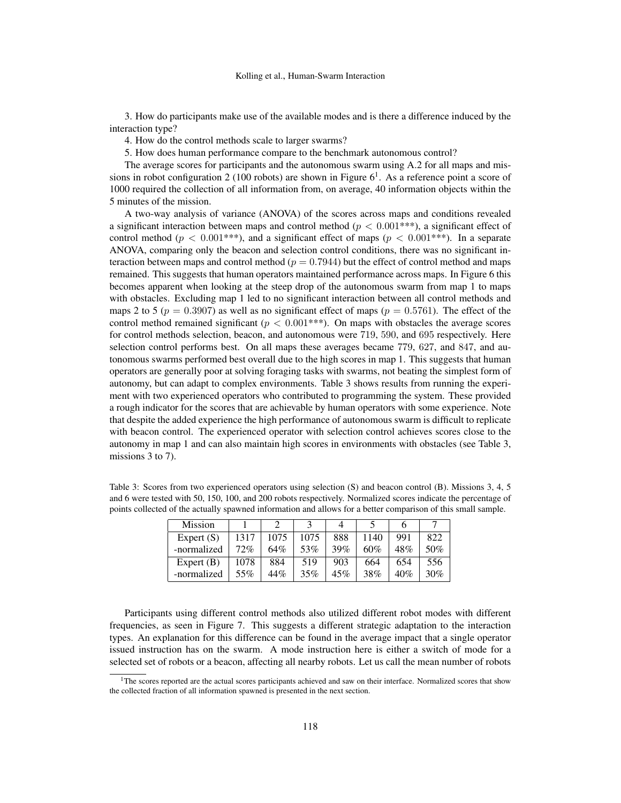3. How do participants make use of the available modes and is there a difference induced by the interaction type?

4. How do the control methods scale to larger swarms?

5. How does human performance compare to the benchmark autonomous control?

The average scores for participants and the autonomous swarm using A.2 for all maps and missions in robot configuration 2 (100 robots) are shown in Figure  $6<sup>1</sup>$ . As a reference point a score of 1000 required the collection of all information from, on average, 40 information objects within the 5 minutes of the mission.

A two-way analysis of variance (ANOVA) of the scores across maps and conditions revealed a significant interaction between maps and control method ( $p < 0.001***$ ), a significant effect of control method ( $p < 0.001$ \*\*\*), and a significant effect of maps ( $p < 0.001$ \*\*\*). In a separate ANOVA, comparing only the beacon and selection control conditions, there was no significant interaction between maps and control method ( $p = 0.7944$ ) but the effect of control method and maps remained. This suggests that human operators maintained performance across maps. In Figure 6 this becomes apparent when looking at the steep drop of the autonomous swarm from map 1 to maps with obstacles. Excluding map 1 led to no significant interaction between all control methods and maps 2 to 5 ( $p = 0.3907$ ) as well as no significant effect of maps ( $p = 0.5761$ ). The effect of the control method remained significant ( $p < 0.001$ \*\*\*). On maps with obstacles the average scores for control methods selection, beacon, and autonomous were 719, 590, and 695 respectively. Here selection control performs best. On all maps these averages became 779, 627, and 847, and autonomous swarms performed best overall due to the high scores in map 1. This suggests that human operators are generally poor at solving foraging tasks with swarms, not beating the simplest form of autonomy, but can adapt to complex environments. Table 3 shows results from running the experiment with two experienced operators who contributed to programming the system. These provided a rough indicator for the scores that are achievable by human operators with some experience. Note that despite the added experience the high performance of autonomous swarm is difficult to replicate with beacon control. The experienced operator with selection control achieves scores close to the autonomy in map 1 and can also maintain high scores in environments with obstacles (see Table 3, missions 3 to 7).

| Table 3: Scores from two experienced operators using selection $(S)$ and beacon control $(B)$ . Missions 3, 4, 5 |
|------------------------------------------------------------------------------------------------------------------|
| and 6 were tested with 50, 150, 100, and 200 robots respectively. Normalized scores indicate the percentage of   |
| points collected of the actually spawned information and allows for a better comparison of this small sample.    |

| <b>Mission</b> |      |      |      |     |      |     |     |
|----------------|------|------|------|-----|------|-----|-----|
| Expert $(S)$   | 1317 | 1075 | 1075 | 888 | 1140 | 991 | 822 |
| -normalized    | 72%  | 64%  | 53%  | 39% | 60%  | 48% | 50% |
| Expert $(B)$   | 1078 | 884  | 519  | 903 | 664  | 654 | 556 |
| -normalized    | 55%  | 44%  | 35%  | 45% | 38%  | 40% | 30% |

Participants using different control methods also utilized different robot modes with different frequencies, as seen in Figure 7. This suggests a different strategic adaptation to the interaction types. An explanation for this difference can be found in the average impact that a single operator issued instruction has on the swarm. A mode instruction here is either a switch of mode for a selected set of robots or a beacon, affecting all nearby robots. Let us call the mean number of robots

<sup>&</sup>lt;sup>1</sup>The scores reported are the actual scores participants achieved and saw on their interface. Normalized scores that show the collected fraction of all information spawned is presented in the next section.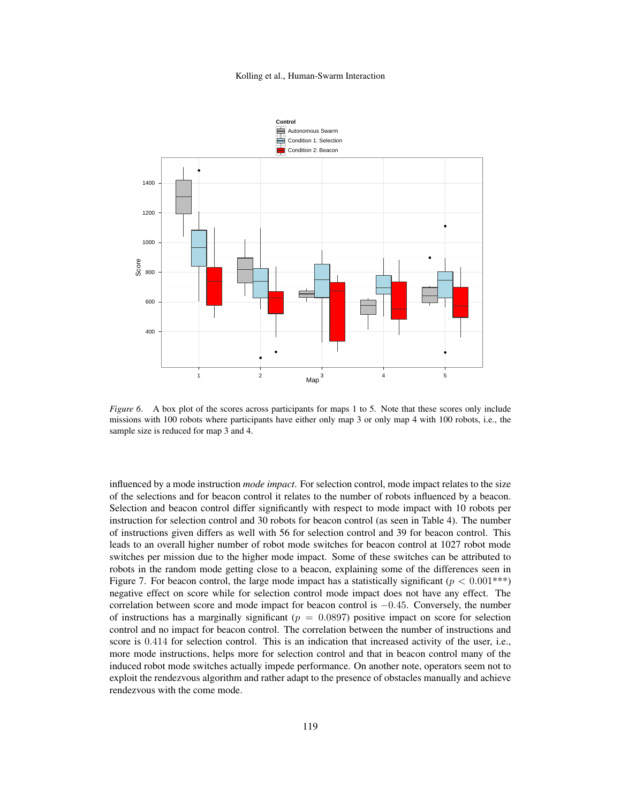

*Figure 6.* A box plot of the scores across participants for maps 1 to 5. Note that these scores only include missions with 100 robots where participants have either only map 3 or only map 4 with 100 robots, i.e., the sample size is reduced for map 3 and 4.

influenced by a mode instruction *mode impact*. For selection control, mode impact relates to the size of the selections and for beacon control it relates to the number of robots influenced by a beacon. Selection and beacon control differ significantly with respect to mode impact with 10 robots per instruction for selection control and 30 robots for beacon control (as seen in Table 4). The number of instructions given differs as well with 56 for selection control and 39 for beacon control. This leads to an overall higher number of robot mode switches for beacon control at 1027 robot mode switches per mission due to the higher mode impact. Some of these switches can be attributed to robots in the random mode getting close to a beacon, explaining some of the differences seen in Figure 7. For beacon control, the large mode impact has a statistically significant ( $p < 0.001***$ ) negative effect on score while for selection control mode impact does not have any effect. The correlation between score and mode impact for beacon control is −0.45. Conversely, the number of instructions has a marginally significant ( $p = 0.0897$ ) positive impact on score for selection control and no impact for beacon control. The correlation between the number of instructions and score is 0.414 for selection control. This is an indication that increased activity of the user, i.e., more mode instructions, helps more for selection control and that in beacon control many of the induced robot mode switches actually impede performance. On another note, operators seem not to exploit the rendezvous algorithm and rather adapt to the presence of obstacles manually and achieve rendezvous with the come mode.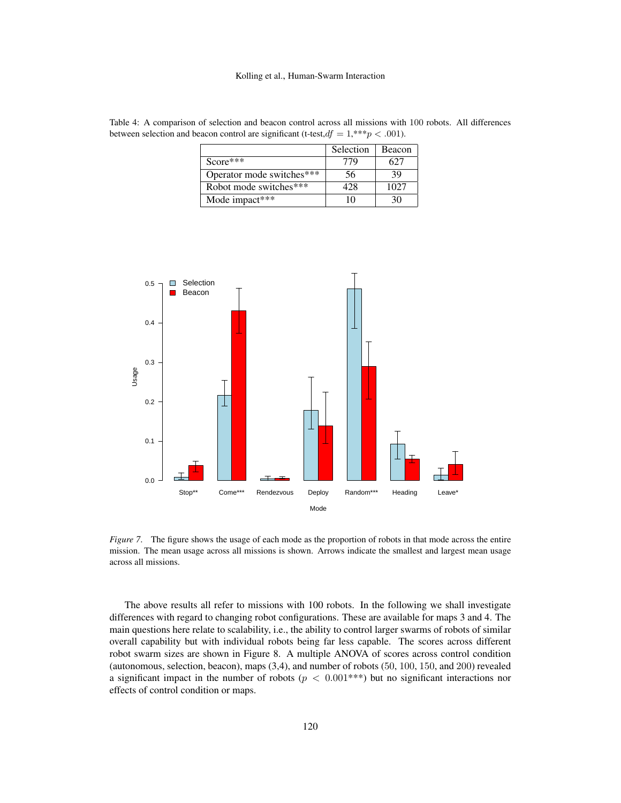| $\alpha$ beacon control are significant (c test, $\omega_l = 1$ , $\beta \sim 0.001$ ). |           |        |  |  |
|-----------------------------------------------------------------------------------------|-----------|--------|--|--|
|                                                                                         | Selection | Beacon |  |  |
| $Score***$                                                                              |           |        |  |  |
| Operator mode switches***                                                               | 56        | 39     |  |  |
| Robot mode switches***                                                                  |           | 1027   |  |  |

Mode impact\*\*\* 10 10 30

Table 4: A comparison of selection and beacon control across all missions with 100 robots. All differences between selection and beacon control are significant (t-test,  $df = 1$ , \*\*\*p < .001).



*Figure 7*. The figure shows the usage of each mode as the proportion of robots in that mode across the entire mission. The mean usage across all missions is shown. Arrows indicate the smallest and largest mean usage across all missions.

The above results all refer to missions with 100 robots. In the following we shall investigate differences with regard to changing robot configurations. These are available for maps 3 and 4. The main questions here relate to scalability, i.e., the ability to control larger swarms of robots of similar overall capability but with individual robots being far less capable. The scores across different robot swarm sizes are shown in Figure 8. A multiple ANOVA of scores across control condition (autonomous, selection, beacon), maps (3,4), and number of robots (50, 100, 150, and 200) revealed a significant impact in the number of robots ( $p < 0.001***$ ) but no significant interactions nor effects of control condition or maps.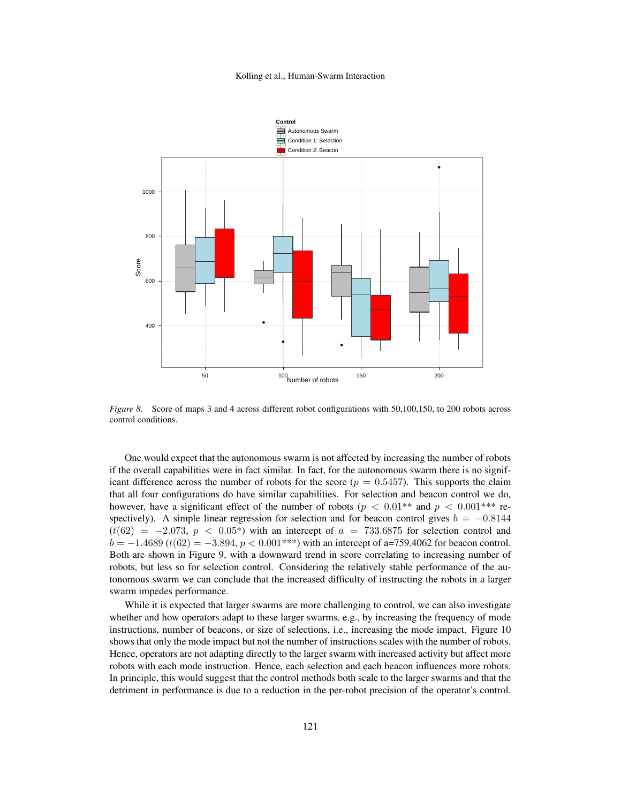

*Figure 8*. Score of maps 3 and 4 across different robot configurations with 50,100,150, to 200 robots across control conditions.

One would expect that the autonomous swarm is not affected by increasing the number of robots if the overall capabilities were in fact similar. In fact, for the autonomous swarm there is no significant difference across the number of robots for the score ( $p = 0.5457$ ). This supports the claim that all four configurations do have similar capabilities. For selection and beacon control we do, however, have a significant effect of the number of robots ( $p < 0.01**$  and  $p < 0.001***$  respectively). A simple linear regression for selection and for beacon control gives  $b = -0.8144$  $(t(62) = -2.073, p < 0.05^*)$  with an intercept of  $a = 733.6875$  for selection control and  $b = -1.4689$  (t(62) = -3.894,  $p < 0.001$ \*\*\*) with an intercept of a=759.4062 for beacon control. Both are shown in Figure 9, with a downward trend in score correlating to increasing number of robots, but less so for selection control. Considering the relatively stable performance of the autonomous swarm we can conclude that the increased difficulty of instructing the robots in a larger swarm impedes performance.

While it is expected that larger swarms are more challenging to control, we can also investigate whether and how operators adapt to these larger swarms, e.g., by increasing the frequency of mode instructions, number of beacons, or size of selections, i.e., increasing the mode impact. Figure 10 shows that only the mode impact but not the number of instructions scales with the number of robots. Hence, operators are not adapting directly to the larger swarm with increased activity but affect more robots with each mode instruction. Hence, each selection and each beacon influences more robots. In principle, this would suggest that the control methods both scale to the larger swarms and that the detriment in performance is due to a reduction in the per-robot precision of the operator's control.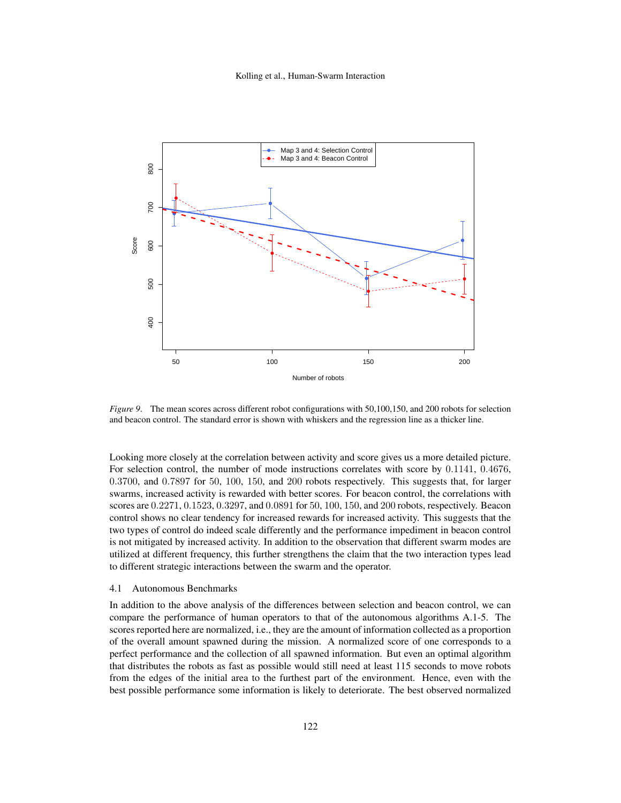

*Figure 9*. The mean scores across different robot configurations with 50,100,150, and 200 robots for selection and beacon control. The standard error is shown with whiskers and the regression line as a thicker line.

Looking more closely at the correlation between activity and score gives us a more detailed picture. For selection control, the number of mode instructions correlates with score by 0.1141, 0.4676, 0.3700, and 0.7897 for 50, 100, 150, and 200 robots respectively. This suggests that, for larger swarms, increased activity is rewarded with better scores. For beacon control, the correlations with scores are 0.2271, 0.1523, 0.3297, and 0.0891 for 50, 100, 150, and 200 robots, respectively. Beacon control shows no clear tendency for increased rewards for increased activity. This suggests that the two types of control do indeed scale differently and the performance impediment in beacon control is not mitigated by increased activity. In addition to the observation that different swarm modes are utilized at different frequency, this further strengthens the claim that the two interaction types lead to different strategic interactions between the swarm and the operator.

#### 4.1 Autonomous Benchmarks

In addition to the above analysis of the differences between selection and beacon control, we can compare the performance of human operators to that of the autonomous algorithms A.1-5. The scores reported here are normalized, i.e., they are the amount of information collected as a proportion of the overall amount spawned during the mission. A normalized score of one corresponds to a perfect performance and the collection of all spawned information. But even an optimal algorithm that distributes the robots as fast as possible would still need at least 115 seconds to move robots from the edges of the initial area to the furthest part of the environment. Hence, even with the best possible performance some information is likely to deteriorate. The best observed normalized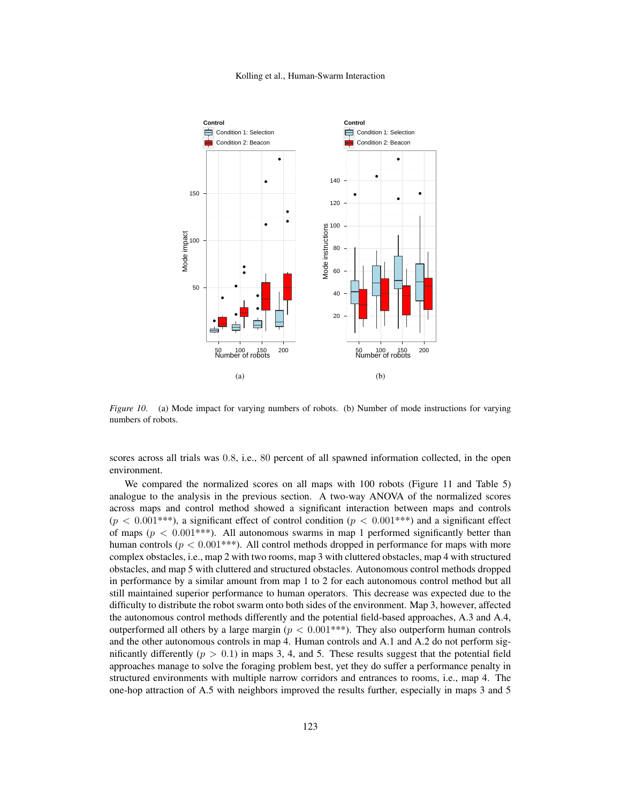

*Figure 10.* (a) Mode impact for varying numbers of robots. (b) Number of mode instructions for varying numbers of robots.

scores across all trials was 0.8, i.e., 80 percent of all spawned information collected, in the open environment.

We compared the normalized scores on all maps with 100 robots (Figure 11 and Table 5) analogue to the analysis in the previous section. A two-way ANOVA of the normalized scores across maps and control method showed a significant interaction between maps and controls  $(p < 0.001^{***})$ , a significant effect of control condition  $(p < 0.001^{***})$  and a significant effect of maps ( $p < 0.001$ \*\*\*). All autonomous swarms in map 1 performed significantly better than human controls ( $p < 0.001$ \*\*\*). All control methods dropped in performance for maps with more complex obstacles, i.e., map 2 with two rooms, map 3 with cluttered obstacles, map 4 with structured obstacles, and map 5 with cluttered and structured obstacles. Autonomous control methods dropped in performance by a similar amount from map 1 to 2 for each autonomous control method but all still maintained superior performance to human operators. This decrease was expected due to the difficulty to distribute the robot swarm onto both sides of the environment. Map 3, however, affected the autonomous control methods differently and the potential field-based approaches, A.3 and A.4, outperformed all others by a large margin ( $p < 0.001***$ ). They also outperform human controls and the other autonomous controls in map 4. Human controls and A.1 and A.2 do not perform significantly differently ( $p > 0.1$ ) in maps 3, 4, and 5. These results suggest that the potential field approaches manage to solve the foraging problem best, yet they do suffer a performance penalty in structured environments with multiple narrow corridors and entrances to rooms, i.e., map 4. The one-hop attraction of A.5 with neighbors improved the results further, especially in maps 3 and 5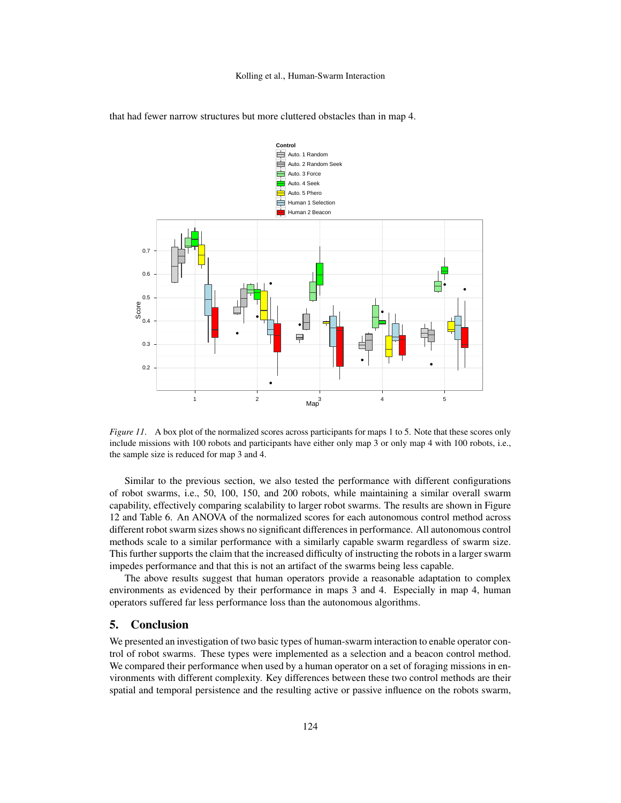

that had fewer narrow structures but more cluttered obstacles than in map 4.

*Figure 11.* A box plot of the normalized scores across participants for maps 1 to 5. Note that these scores only include missions with 100 robots and participants have either only map 3 or only map 4 with 100 robots, i.e., the sample size is reduced for map 3 and 4.

Similar to the previous section, we also tested the performance with different configurations of robot swarms, i.e., 50, 100, 150, and 200 robots, while maintaining a similar overall swarm capability, effectively comparing scalability to larger robot swarms. The results are shown in Figure 12 and Table 6. An ANOVA of the normalized scores for each autonomous control method across different robot swarm sizes shows no significant differences in performance. All autonomous control methods scale to a similar performance with a similarly capable swarm regardless of swarm size. This further supports the claim that the increased difficulty of instructing the robots in a larger swarm impedes performance and that this is not an artifact of the swarms being less capable.

The above results suggest that human operators provide a reasonable adaptation to complex environments as evidenced by their performance in maps 3 and 4. Especially in map 4, human operators suffered far less performance loss than the autonomous algorithms.

# 5. Conclusion

We presented an investigation of two basic types of human-swarm interaction to enable operator control of robot swarms. These types were implemented as a selection and a beacon control method. We compared their performance when used by a human operator on a set of foraging missions in environments with different complexity. Key differences between these two control methods are their spatial and temporal persistence and the resulting active or passive influence on the robots swarm,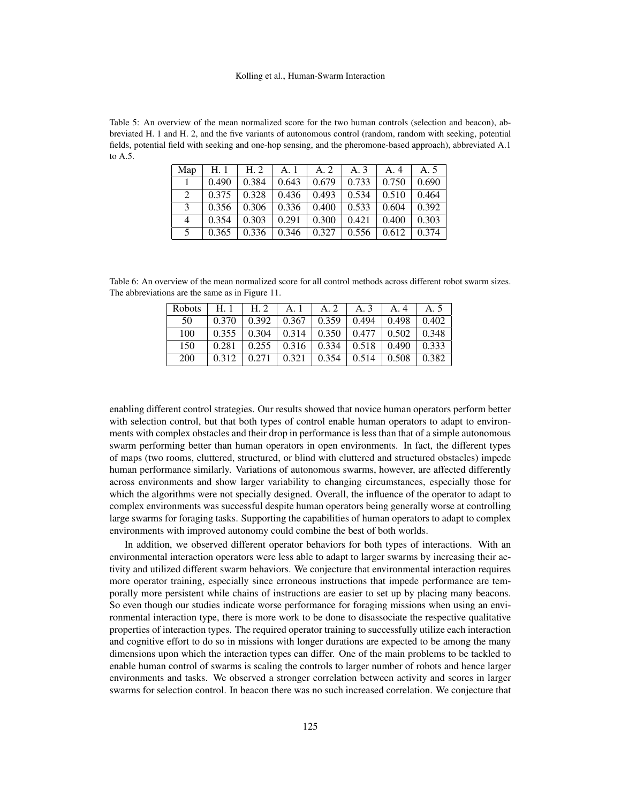Table 5: An overview of the mean normalized score for the two human controls (selection and beacon), abbreviated H. 1 and H. 2, and the five variants of autonomous control (random, random with seeking, potential fields, potential field with seeking and one-hop sensing, and the pheromone-based approach), abbreviated A.1 to A.5.

| Map     | H.1   | H. 2  | A. 1  | A. 2  | A. 3                        | A.4   | A. 5  |
|---------|-------|-------|-------|-------|-----------------------------|-------|-------|
|         | 0.490 | 0.384 | 0.643 |       | $0.679$   $0.733$   $0.750$ |       | 0.690 |
| $2^{1}$ | 0.375 | 0.328 | 0.436 | 0.493 | 0.534                       | 0.510 | 0.464 |
| 3       | 0.356 | 0.306 | 0.336 | 0.400 | $\vert 0.533 \vert$         | 0.604 | 0.392 |
| 4       | 0.354 | 0.303 | 0.291 | 0.300 | 0.421                       | 0.400 | 0.303 |
| 5       | 0.365 | 0.336 | 0.346 | 0.327 | 0.556                       | 0.612 | 0.374 |

Table 6: An overview of the mean normalized score for all control methods across different robot swarm sizes. The abbreviations are the same as in Figure 11.

| <b>Robots</b> | H.1   | H.2   | A. 1                        | A. 2                                            | A. 3                        | A.4   | A. 5  |
|---------------|-------|-------|-----------------------------|-------------------------------------------------|-----------------------------|-------|-------|
| 50            | 0.370 | 0.392 |                             | $0.367 \pm 0.359$                               | $0.494 \pm 0.498$           |       | 0.402 |
| 100           | 0.355 |       |                             | $0.304$   $0.314$   $0.350$   $0.477$   $0.502$ |                             |       | 0.348 |
| 150           | 0.281 |       | $0.255 \pm 0.316 \pm 0.316$ |                                                 | $0.334 \pm 0.518 \pm 0.490$ |       | 0.333 |
| 200           | 0.312 | 0.271 | 0.321                       | 0.354                                           | 0.514                       | 0.508 | 0.382 |

enabling different control strategies. Our results showed that novice human operators perform better with selection control, but that both types of control enable human operators to adapt to environments with complex obstacles and their drop in performance is less than that of a simple autonomous swarm performing better than human operators in open environments. In fact, the different types of maps (two rooms, cluttered, structured, or blind with cluttered and structured obstacles) impede human performance similarly. Variations of autonomous swarms, however, are affected differently across environments and show larger variability to changing circumstances, especially those for which the algorithms were not specially designed. Overall, the influence of the operator to adapt to complex environments was successful despite human operators being generally worse at controlling large swarms for foraging tasks. Supporting the capabilities of human operators to adapt to complex environments with improved autonomy could combine the best of both worlds.

In addition, we observed different operator behaviors for both types of interactions. With an environmental interaction operators were less able to adapt to larger swarms by increasing their activity and utilized different swarm behaviors. We conjecture that environmental interaction requires more operator training, especially since erroneous instructions that impede performance are temporally more persistent while chains of instructions are easier to set up by placing many beacons. So even though our studies indicate worse performance for foraging missions when using an environmental interaction type, there is more work to be done to disassociate the respective qualitative properties of interaction types. The required operator training to successfully utilize each interaction and cognitive effort to do so in missions with longer durations are expected to be among the many dimensions upon which the interaction types can differ. One of the main problems to be tackled to enable human control of swarms is scaling the controls to larger number of robots and hence larger environments and tasks. We observed a stronger correlation between activity and scores in larger swarms for selection control. In beacon there was no such increased correlation. We conjecture that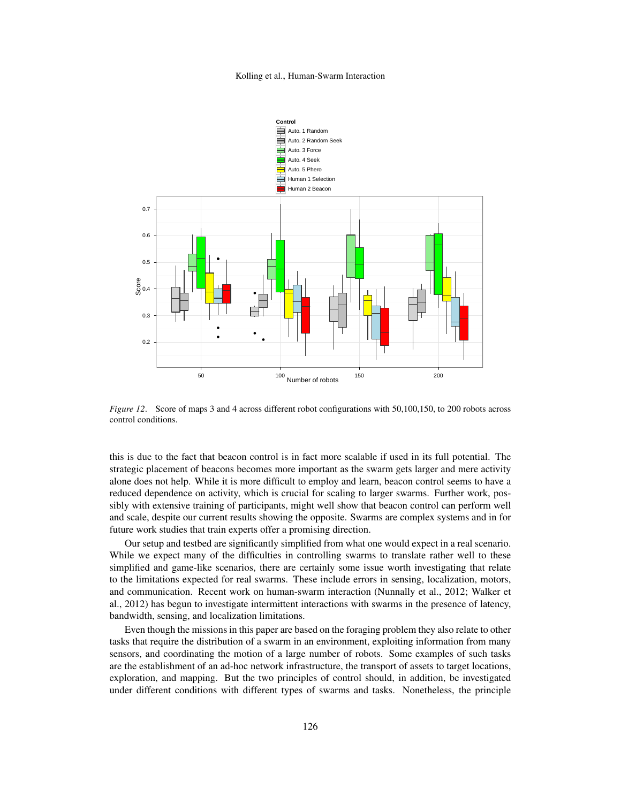

*Figure 12*. Score of maps 3 and 4 across different robot configurations with 50,100,150, to 200 robots across control conditions.

this is due to the fact that beacon control is in fact more scalable if used in its full potential. The strategic placement of beacons becomes more important as the swarm gets larger and mere activity alone does not help. While it is more difficult to employ and learn, beacon control seems to have a reduced dependence on activity, which is crucial for scaling to larger swarms. Further work, possibly with extensive training of participants, might well show that beacon control can perform well and scale, despite our current results showing the opposite. Swarms are complex systems and in for future work studies that train experts offer a promising direction.

Our setup and testbed are significantly simplified from what one would expect in a real scenario. While we expect many of the difficulties in controlling swarms to translate rather well to these simplified and game-like scenarios, there are certainly some issue worth investigating that relate to the limitations expected for real swarms. These include errors in sensing, localization, motors, and communication. Recent work on human-swarm interaction (Nunnally et al., 2012; Walker et al., 2012) has begun to investigate intermittent interactions with swarms in the presence of latency, bandwidth, sensing, and localization limitations.

Even though the missions in this paper are based on the foraging problem they also relate to other tasks that require the distribution of a swarm in an environment, exploiting information from many sensors, and coordinating the motion of a large number of robots. Some examples of such tasks are the establishment of an ad-hoc network infrastructure, the transport of assets to target locations, exploration, and mapping. But the two principles of control should, in addition, be investigated under different conditions with different types of swarms and tasks. Nonetheless, the principle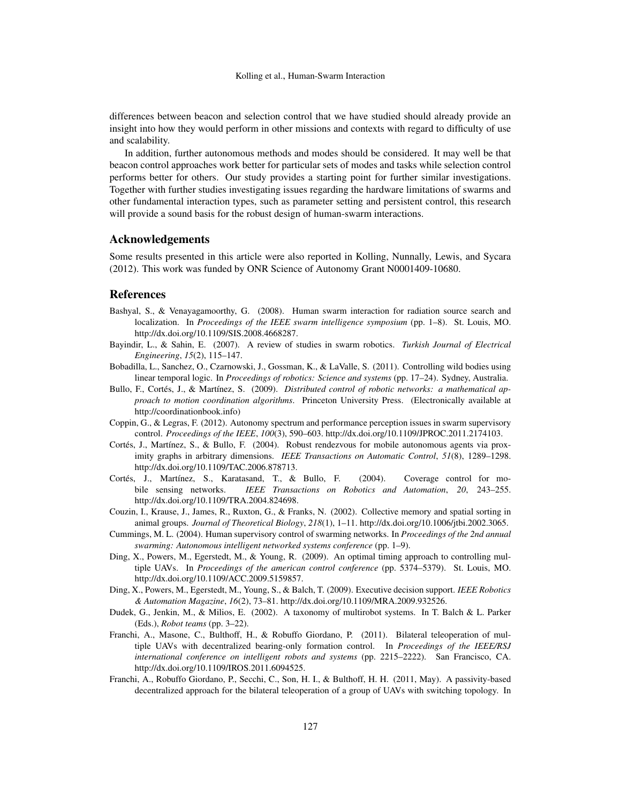differences between beacon and selection control that we have studied should already provide an insight into how they would perform in other missions and contexts with regard to difficulty of use and scalability.

In addition, further autonomous methods and modes should be considered. It may well be that beacon control approaches work better for particular sets of modes and tasks while selection control performs better for others. Our study provides a starting point for further similar investigations. Together with further studies investigating issues regarding the hardware limitations of swarms and other fundamental interaction types, such as parameter setting and persistent control, this research will provide a sound basis for the robust design of human-swarm interactions.

## Acknowledgements

Some results presented in this article were also reported in Kolling, Nunnally, Lewis, and Sycara (2012). This work was funded by ONR Science of Autonomy Grant N0001409-10680.

## References

- Bashyal, S., & Venayagamoorthy, G. (2008). Human swarm interaction for radiation source search and localization. In *Proceedings of the IEEE swarm intelligence symposium* (pp. 1–8). St. Louis, MO. http://dx.doi.org/10.1109/SIS.2008.4668287.
- Bayindir, L., & Sahin, E. (2007). A review of studies in swarm robotics. *Turkish Journal of Electrical Engineering*, *15*(2), 115–147.
- Bobadilla, L., Sanchez, O., Czarnowski, J., Gossman, K., & LaValle, S. (2011). Controlling wild bodies using linear temporal logic. In *Proceedings of robotics: Science and systems* (pp. 17–24). Sydney, Australia.
- Bullo, F., Cortés, J., & Martínez, S. (2009). *Distributed control of robotic networks: a mathematical approach to motion coordination algorithms*. Princeton University Press. (Electronically available at http://coordinationbook.info)
- Coppin, G., & Legras, F. (2012). Autonomy spectrum and performance perception issues in swarm supervisory control. *Proceedings of the IEEE*, *100*(3), 590–603. http://dx.doi.org/10.1109/JPROC.2011.2174103.
- Cortés, J., Martínez, S., & Bullo, F. (2004). Robust rendezvous for mobile autonomous agents via proximity graphs in arbitrary dimensions. *IEEE Transactions on Automatic Control*, *51*(8), 1289–1298. http://dx.doi.org/10.1109/TAC.2006.878713.
- Cortés, J., Martínez, S., Karatasand, T., & Bullo, F. (2004). Coverage control for mobile sensing networks. *IEEE Transactions on Robotics and Automation*, *20*, 243–255. http://dx.doi.org/10.1109/TRA.2004.824698.
- Couzin, I., Krause, J., James, R., Ruxton, G., & Franks, N. (2002). Collective memory and spatial sorting in animal groups. *Journal of Theoretical Biology*, *218*(1), 1–11. http://dx.doi.org/10.1006/jtbi.2002.3065.
- Cummings, M. L. (2004). Human supervisory control of swarming networks. In *Proceedings of the 2nd annual swarming: Autonomous intelligent networked systems conference* (pp. 1–9).
- Ding, X., Powers, M., Egerstedt, M., & Young, R. (2009). An optimal timing approach to controlling multiple UAVs. In *Proceedings of the american control conference* (pp. 5374–5379). St. Louis, MO. http://dx.doi.org/10.1109/ACC.2009.5159857.
- Ding, X., Powers, M., Egerstedt, M., Young, S., & Balch, T. (2009). Executive decision support. *IEEE Robotics & Automation Magazine*, *16*(2), 73–81. http://dx.doi.org/10.1109/MRA.2009.932526.
- Dudek, G., Jenkin, M., & Milios, E. (2002). A taxonomy of multirobot systems. In T. Balch & L. Parker (Eds.), *Robot teams* (pp. 3–22).
- Franchi, A., Masone, C., Bulthoff, H., & Robuffo Giordano, P. (2011). Bilateral teleoperation of multiple UAVs with decentralized bearing-only formation control. In *Proceedings of the IEEE/RSJ international conference on intelligent robots and systems* (pp. 2215–2222). San Francisco, CA. http://dx.doi.org/10.1109/IROS.2011.6094525.
- Franchi, A., Robuffo Giordano, P., Secchi, C., Son, H. I., & Bulthoff, H. H. (2011, May). A passivity-based decentralized approach for the bilateral teleoperation of a group of UAVs with switching topology. In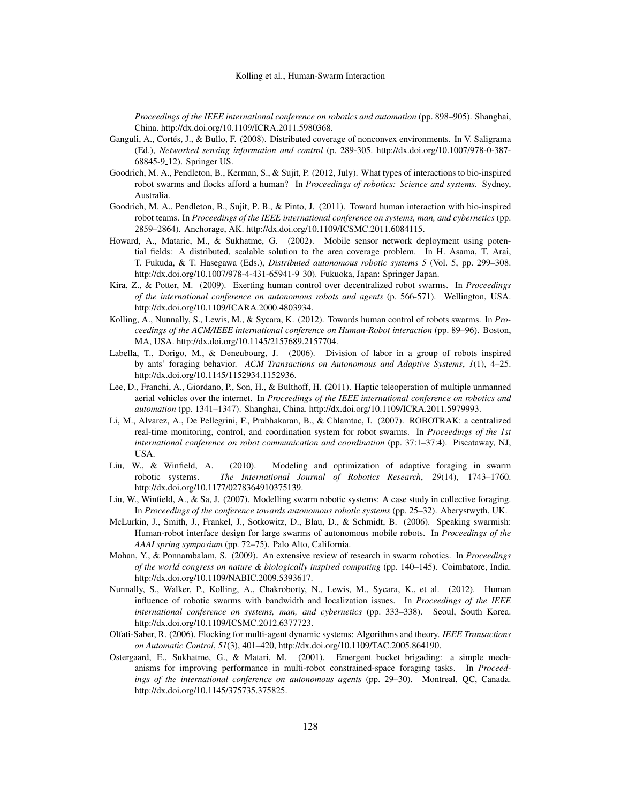*Proceedings of the IEEE international conference on robotics and automation* (pp. 898–905). Shanghai, China. http://dx.doi.org/10.1109/ICRA.2011.5980368.

- Ganguli, A., Cortés, J., & Bullo, F. (2008). Distributed coverage of nonconvex environments. In V. Saligrama (Ed.), *Networked sensing information and control* (p. 289-305. http://dx.doi.org/10.1007/978-0-387- 68845-9 12). Springer US.
- Goodrich, M. A., Pendleton, B., Kerman, S., & Sujit, P. (2012, July). What types of interactions to bio-inspired robot swarms and flocks afford a human? In *Proceedings of robotics: Science and systems.* Sydney, Australia.
- Goodrich, M. A., Pendleton, B., Sujit, P. B., & Pinto, J. (2011). Toward human interaction with bio-inspired robot teams. In *Proceedings of the IEEE international conference on systems, man, and cybernetics* (pp. 2859–2864). Anchorage, AK. http://dx.doi.org/10.1109/ICSMC.2011.6084115.
- Howard, A., Mataric, M., & Sukhatme, G. (2002). Mobile sensor network deployment using potential fields: A distributed, scalable solution to the area coverage problem. In H. Asama, T. Arai, T. Fukuda, & T. Hasegawa (Eds.), *Distributed autonomous robotic systems 5* (Vol. 5, pp. 299–308. http://dx.doi.org/10.1007/978-4-431-65941-9 30). Fukuoka, Japan: Springer Japan.
- Kira, Z., & Potter, M. (2009). Exerting human control over decentralized robot swarms. In *Proceedings of the international conference on autonomous robots and agents* (p. 566-571). Wellington, USA. http://dx.doi.org/10.1109/ICARA.2000.4803934.
- Kolling, A., Nunnally, S., Lewis, M., & Sycara, K. (2012). Towards human control of robots swarms. In *Proceedings of the ACM/IEEE international conference on Human-Robot interaction* (pp. 89–96). Boston, MA, USA. http://dx.doi.org/10.1145/2157689.2157704.
- Labella, T., Dorigo, M., & Deneubourg, J. (2006). Division of labor in a group of robots inspired by ants' foraging behavior. *ACM Transactions on Autonomous and Adaptive Systems*, *1*(1), 4–25. http://dx.doi.org/10.1145/1152934.1152936.
- Lee, D., Franchi, A., Giordano, P., Son, H., & Bulthoff, H. (2011). Haptic teleoperation of multiple unmanned aerial vehicles over the internet. In *Proceedings of the IEEE international conference on robotics and automation* (pp. 1341–1347). Shanghai, China. http://dx.doi.org/10.1109/ICRA.2011.5979993.
- Li, M., Alvarez, A., De Pellegrini, F., Prabhakaran, B., & Chlamtac, I. (2007). ROBOTRAK: a centralized real-time monitoring, control, and coordination system for robot swarms. In *Proceedings of the 1st international conference on robot communication and coordination* (pp. 37:1–37:4). Piscataway, NJ, USA.
- Liu, W., & Winfield, A. (2010). Modeling and optimization of adaptive foraging in swarm robotic systems. *The International Journal of Robotics Research*, *29*(14), 1743–1760. http://dx.doi.org/10.1177/0278364910375139.
- Liu, W., Winfield, A., & Sa, J. (2007). Modelling swarm robotic systems: A case study in collective foraging. In *Proceedings of the conference towards autonomous robotic systems* (pp. 25–32). Aberystwyth, UK.
- McLurkin, J., Smith, J., Frankel, J., Sotkowitz, D., Blau, D., & Schmidt, B. (2006). Speaking swarmish: Human-robot interface design for large swarms of autonomous mobile robots. In *Proceedings of the AAAI spring symposium* (pp. 72–75). Palo Alto, California.
- Mohan, Y., & Ponnambalam, S. (2009). An extensive review of research in swarm robotics. In *Proceedings of the world congress on nature & biologically inspired computing* (pp. 140–145). Coimbatore, India. http://dx.doi.org/10.1109/NABIC.2009.5393617.
- Nunnally, S., Walker, P., Kolling, A., Chakroborty, N., Lewis, M., Sycara, K., et al. (2012). Human influence of robotic swarms with bandwidth and localization issues. In *Proceedings of the IEEE international conference on systems, man, and cybernetics* (pp. 333–338). Seoul, South Korea. http://dx.doi.org/10.1109/ICSMC.2012.6377723.
- Olfati-Saber, R. (2006). Flocking for multi-agent dynamic systems: Algorithms and theory. *IEEE Transactions on Automatic Control*, *51*(3), 401–420, http://dx.doi.org/10.1109/TAC.2005.864190.
- Ostergaard, E., Sukhatme, G., & Matari, M. (2001). Emergent bucket brigading: a simple mechanisms for improving performance in multi-robot constrained-space foraging tasks. In *Proceedings of the international conference on autonomous agents* (pp. 29–30). Montreal, QC, Canada. http://dx.doi.org/10.1145/375735.375825.